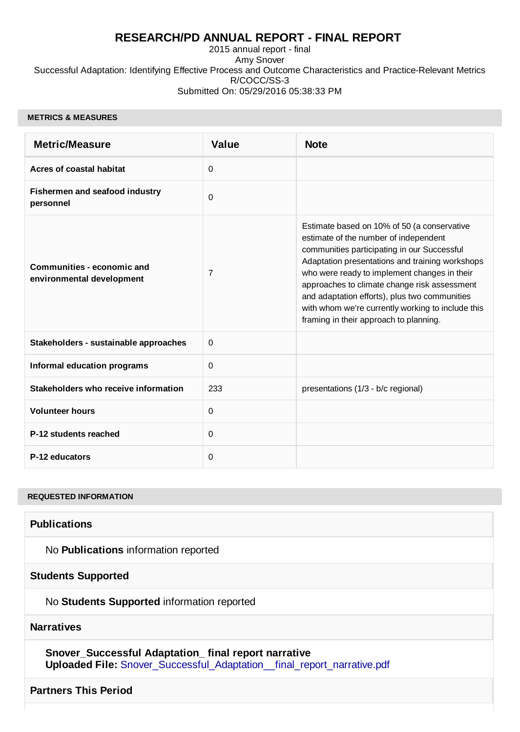## **RESEARCH/PD ANNUAL REPORT - FINAL REPORT**

2015 annual report - final Amy Snover Successful Adaptation: Identifying Effective Process and Outcome Characteristics and Practice-Relevant Metrics R/COCC/SS-3 Submitted On: 05/29/2016 05:38:33 PM

#### **METRICS & MEASURES**

| <b>Metric/Measure</b>                                          | <b>Value</b> | <b>Note</b>                                                                                                                                                                                                                                                                                                                                                                                                                            |
|----------------------------------------------------------------|--------------|----------------------------------------------------------------------------------------------------------------------------------------------------------------------------------------------------------------------------------------------------------------------------------------------------------------------------------------------------------------------------------------------------------------------------------------|
| <b>Acres of coastal habitat</b>                                | $\Omega$     |                                                                                                                                                                                                                                                                                                                                                                                                                                        |
| Fishermen and seafood industry<br>personnel                    | 0            |                                                                                                                                                                                                                                                                                                                                                                                                                                        |
| <b>Communities - economic and</b><br>environmental development | 7            | Estimate based on 10% of 50 (a conservative<br>estimate of the number of independent<br>communities participating in our Successful<br>Adaptation presentations and training workshops<br>who were ready to implement changes in their<br>approaches to climate change risk assessment<br>and adaptation efforts), plus two communities<br>with whom we're currently working to include this<br>framing in their approach to planning. |
| Stakeholders - sustainable approaches                          | 0            |                                                                                                                                                                                                                                                                                                                                                                                                                                        |
| <b>Informal education programs</b>                             | 0            |                                                                                                                                                                                                                                                                                                                                                                                                                                        |
| Stakeholders who receive information                           | 233          | presentations (1/3 - b/c regional)                                                                                                                                                                                                                                                                                                                                                                                                     |
| <b>Volunteer hours</b>                                         | 0            |                                                                                                                                                                                                                                                                                                                                                                                                                                        |
| P-12 students reached                                          | 0            |                                                                                                                                                                                                                                                                                                                                                                                                                                        |
| P-12 educators                                                 | 0            |                                                                                                                                                                                                                                                                                                                                                                                                                                        |

#### **REQUESTED INFORMATION**

**Publications**

No **Publications** information reported

**Students Supported**

No **Students Supported** information reported

### **Narratives**

**Snover\_Successful Adaptation\_ final report narrative Uploaded File:** [Snover\\_Successful\\_Adaptation\\_\\_final\\_report\\_narrative.pdf](http://esg.wsg.washington.edu/index.php?module=Narratives&action=DownloadFile&record=24618&fileid=24619)

### **Partners This Period**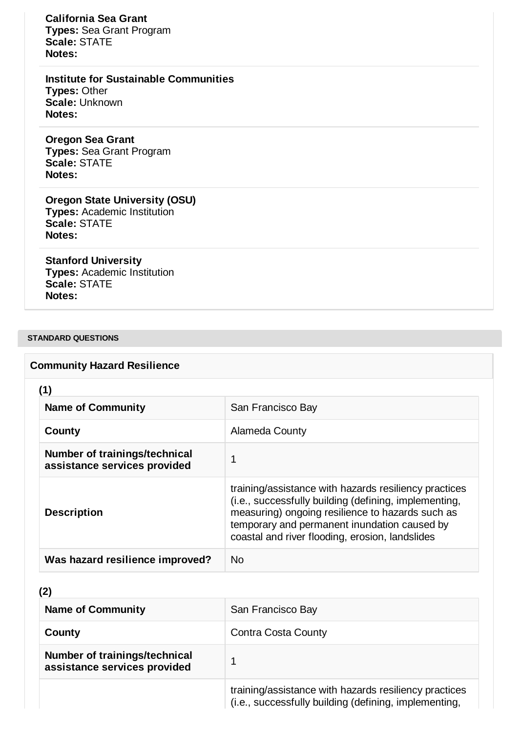**California Sea Grant Types:** Sea Grant Program **Scale:** STATE **Notes:**

**Institute for Sustainable Communities Types:** Other **Scale:** Unknown **Notes:**

**Oregon Sea Grant Types:** Sea Grant Program **Scale:** STATE **Notes:**

**Oregon State University (OSU) Types:** Academic Institution **Scale:** STATE **Notes:**

**Stanford University Types:** Academic Institution **Scale:** STATE **Notes:**

### **STANDARD QUESTIONS**

## **Community Hazard Resilience**

**(1)**

| <b>Name of Community</b>                                      | San Francisco Bay                                                                                                                                                                                                                                                     |
|---------------------------------------------------------------|-----------------------------------------------------------------------------------------------------------------------------------------------------------------------------------------------------------------------------------------------------------------------|
| County                                                        | Alameda County                                                                                                                                                                                                                                                        |
| Number of trainings/technical<br>assistance services provided | 1                                                                                                                                                                                                                                                                     |
| <b>Description</b>                                            | training/assistance with hazards resiliency practices<br>(i.e., successfully building (defining, implementing,<br>measuring) ongoing resilience to hazards such as<br>temporary and permanent inundation caused by<br>coastal and river flooding, erosion, landslides |
| Was hazard resilience improved?                               | Nο                                                                                                                                                                                                                                                                    |

## **(2)**

| <b>Name of Community</b>                                      | San Francisco Bay                                                                                              |
|---------------------------------------------------------------|----------------------------------------------------------------------------------------------------------------|
| County                                                        | <b>Contra Costa County</b>                                                                                     |
| Number of trainings/technical<br>assistance services provided |                                                                                                                |
|                                                               | training/assistance with hazards resiliency practices<br>(i.e., successfully building (defining, implementing, |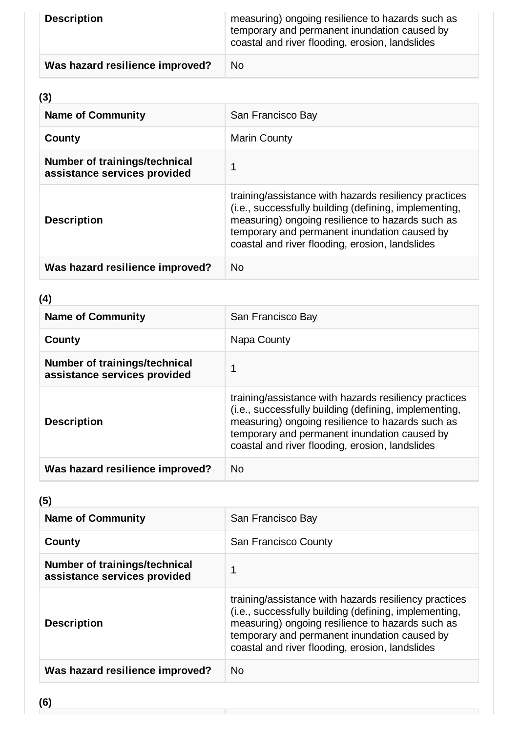| <b>Description</b>              | measuring) ongoing resilience to hazards such as<br>temporary and permanent inundation caused by<br>coastal and river flooding, erosion, landslides |
|---------------------------------|-----------------------------------------------------------------------------------------------------------------------------------------------------|
| Was hazard resilience improved? | <b>No</b>                                                                                                                                           |

# **(3)**

| <b>Name of Community</b>                                      | San Francisco Bay                                                                                                                                                                                                                                                     |
|---------------------------------------------------------------|-----------------------------------------------------------------------------------------------------------------------------------------------------------------------------------------------------------------------------------------------------------------------|
| County                                                        | <b>Marin County</b>                                                                                                                                                                                                                                                   |
| Number of trainings/technical<br>assistance services provided | 1                                                                                                                                                                                                                                                                     |
| <b>Description</b>                                            | training/assistance with hazards resiliency practices<br>(i.e., successfully building (defining, implementing,<br>measuring) ongoing resilience to hazards such as<br>temporary and permanent inundation caused by<br>coastal and river flooding, erosion, landslides |
| Was hazard resilience improved?                               | <b>No</b>                                                                                                                                                                                                                                                             |

## **(4)**

| <b>Name of Community</b>                                      | San Francisco Bay                                                                                                                                                                                                                                                     |
|---------------------------------------------------------------|-----------------------------------------------------------------------------------------------------------------------------------------------------------------------------------------------------------------------------------------------------------------------|
| County                                                        | Napa County                                                                                                                                                                                                                                                           |
| Number of trainings/technical<br>assistance services provided |                                                                                                                                                                                                                                                                       |
| <b>Description</b>                                            | training/assistance with hazards resiliency practices<br>(i.e., successfully building (defining, implementing,<br>measuring) ongoing resilience to hazards such as<br>temporary and permanent inundation caused by<br>coastal and river flooding, erosion, landslides |
| Was hazard resilience improved?                               | No                                                                                                                                                                                                                                                                    |

# **(5)**

| <b>Name of Community</b>                                      | San Francisco Bay                                                                                                                                                                                                                                                     |
|---------------------------------------------------------------|-----------------------------------------------------------------------------------------------------------------------------------------------------------------------------------------------------------------------------------------------------------------------|
| County                                                        | San Francisco County                                                                                                                                                                                                                                                  |
| Number of trainings/technical<br>assistance services provided | 1                                                                                                                                                                                                                                                                     |
| <b>Description</b>                                            | training/assistance with hazards resiliency practices<br>(i.e., successfully building (defining, implementing,<br>measuring) ongoing resilience to hazards such as<br>temporary and permanent inundation caused by<br>coastal and river flooding, erosion, landslides |
| Was hazard resilience improved?                               | <b>No</b>                                                                                                                                                                                                                                                             |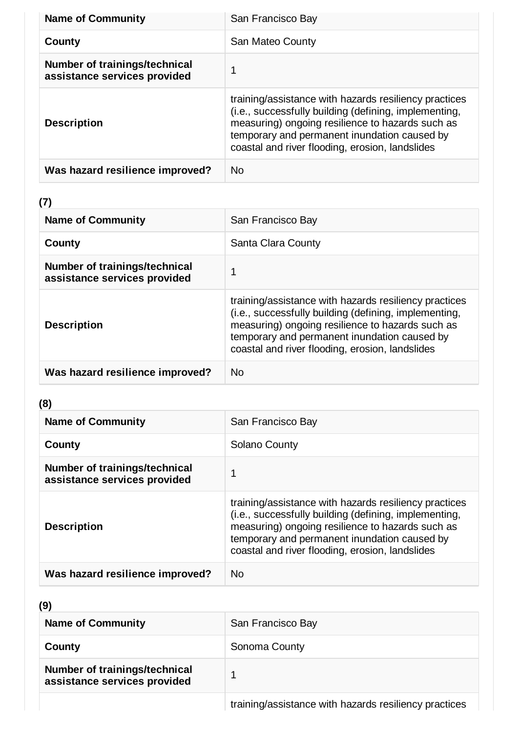| <b>Name of Community</b>                                      | San Francisco Bay                                                                                                                                                                                                                                                     |
|---------------------------------------------------------------|-----------------------------------------------------------------------------------------------------------------------------------------------------------------------------------------------------------------------------------------------------------------------|
| County                                                        | San Mateo County                                                                                                                                                                                                                                                      |
| Number of trainings/technical<br>assistance services provided | 1                                                                                                                                                                                                                                                                     |
| <b>Description</b>                                            | training/assistance with hazards resiliency practices<br>(i.e., successfully building (defining, implementing,<br>measuring) ongoing resilience to hazards such as<br>temporary and permanent inundation caused by<br>coastal and river flooding, erosion, landslides |
| Was hazard resilience improved?                               | No.                                                                                                                                                                                                                                                                   |

# **(7)**

| <b>Name of Community</b>                                      | San Francisco Bay                                                                                                                                                                                                                                                     |
|---------------------------------------------------------------|-----------------------------------------------------------------------------------------------------------------------------------------------------------------------------------------------------------------------------------------------------------------------|
| County                                                        | Santa Clara County                                                                                                                                                                                                                                                    |
| Number of trainings/technical<br>assistance services provided |                                                                                                                                                                                                                                                                       |
| <b>Description</b>                                            | training/assistance with hazards resiliency practices<br>(i.e., successfully building (defining, implementing,<br>measuring) ongoing resilience to hazards such as<br>temporary and permanent inundation caused by<br>coastal and river flooding, erosion, landslides |
| Was hazard resilience improved?                               | No.                                                                                                                                                                                                                                                                   |

# **(8)**

| <b>Name of Community</b>                                      | San Francisco Bay                                                                                                                                                                                                                                                     |
|---------------------------------------------------------------|-----------------------------------------------------------------------------------------------------------------------------------------------------------------------------------------------------------------------------------------------------------------------|
| County                                                        | Solano County                                                                                                                                                                                                                                                         |
| Number of trainings/technical<br>assistance services provided |                                                                                                                                                                                                                                                                       |
| <b>Description</b>                                            | training/assistance with hazards resiliency practices<br>(i.e., successfully building (defining, implementing,<br>measuring) ongoing resilience to hazards such as<br>temporary and permanent inundation caused by<br>coastal and river flooding, erosion, landslides |
| Was hazard resilience improved?                               | <b>No</b>                                                                                                                                                                                                                                                             |

## **(9)**

| <b>Name of Community</b>                                      | San Francisco Bay                               |
|---------------------------------------------------------------|-------------------------------------------------|
| County                                                        | Sonoma County                                   |
| Number of trainings/technical<br>assistance services provided |                                                 |
|                                                               | the contract of the contract of the contract of |

training/assistance with hazards resiliency practices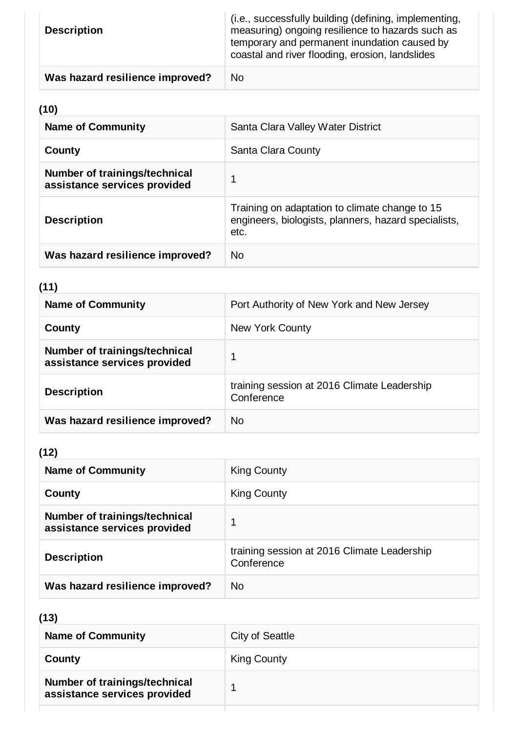| <b>Description</b>              | (i.e., successfully building (defining, implementing,<br>measuring) ongoing resilience to hazards such as<br>temporary and permanent inundation caused by<br>coastal and river flooding, erosion, landslides |
|---------------------------------|--------------------------------------------------------------------------------------------------------------------------------------------------------------------------------------------------------------|
| Was hazard resilience improved? | N <sub>0</sub>                                                                                                                                                                                               |

# **(10)**

| <b>Name of Community</b>                                      | Santa Clara Valley Water District                                                                              |
|---------------------------------------------------------------|----------------------------------------------------------------------------------------------------------------|
| County                                                        | Santa Clara County                                                                                             |
| Number of trainings/technical<br>assistance services provided | 1                                                                                                              |
| <b>Description</b>                                            | Training on adaptation to climate change to 15<br>engineers, biologists, planners, hazard specialists,<br>etc. |
| Was hazard resilience improved?                               | No.                                                                                                            |

# **(11)**

| <b>Name of Community</b>                                      | Port Authority of New York and New Jersey                 |
|---------------------------------------------------------------|-----------------------------------------------------------|
| County                                                        | New York County                                           |
| Number of trainings/technical<br>assistance services provided | 1                                                         |
| <b>Description</b>                                            | training session at 2016 Climate Leadership<br>Conference |
| Was hazard resilience improved?                               | No.                                                       |

# **(12)**

| <b>Name of Community</b>                                      | King County                                               |
|---------------------------------------------------------------|-----------------------------------------------------------|
| County                                                        | King County                                               |
| Number of trainings/technical<br>assistance services provided |                                                           |
| <b>Description</b>                                            | training session at 2016 Climate Leadership<br>Conference |
| Was hazard resilience improved?                               | <b>No</b>                                                 |

# **(13)**

| <b>Name of Community</b>                                      | City of Seattle    |
|---------------------------------------------------------------|--------------------|
| County                                                        | <b>King County</b> |
| Number of trainings/technical<br>assistance services provided |                    |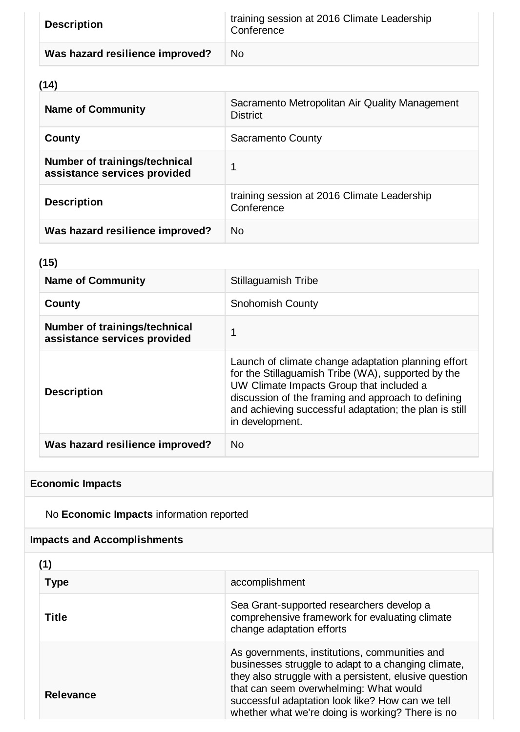| <b>Description</b>              | training session at 2016 Climate Leadership<br>Conference |
|---------------------------------|-----------------------------------------------------------|
| Was hazard resilience improved? | No.                                                       |

# **(14)**

| <b>Name of Community</b>                                      | Sacramento Metropolitan Air Quality Management<br><b>District</b> |
|---------------------------------------------------------------|-------------------------------------------------------------------|
| County                                                        | <b>Sacramento County</b>                                          |
| Number of trainings/technical<br>assistance services provided | 1                                                                 |
| <b>Description</b>                                            | training session at 2016 Climate Leadership<br>Conference         |
| Was hazard resilience improved?                               | No.                                                               |

## **(15)**

| <b>Name of Community</b>                                      | Stillaguamish Tribe                                                                                                                                                                                                                                                                      |
|---------------------------------------------------------------|------------------------------------------------------------------------------------------------------------------------------------------------------------------------------------------------------------------------------------------------------------------------------------------|
| County                                                        | <b>Snohomish County</b>                                                                                                                                                                                                                                                                  |
| Number of trainings/technical<br>assistance services provided |                                                                                                                                                                                                                                                                                          |
| <b>Description</b>                                            | Launch of climate change adaptation planning effort<br>for the Stillaguamish Tribe (WA), supported by the<br>UW Climate Impacts Group that included a<br>discussion of the framing and approach to defining<br>and achieving successful adaptation; the plan is still<br>in development. |
| Was hazard resilience improved?                               | N <sub>0</sub>                                                                                                                                                                                                                                                                           |

# **Economic Impacts**

No **Economic Impacts** information reported

# **Impacts and Accomplishments**

| (1)              |                                                                                                                                                                                                                                                                                                                  |
|------------------|------------------------------------------------------------------------------------------------------------------------------------------------------------------------------------------------------------------------------------------------------------------------------------------------------------------|
| <b>Type</b>      | accomplishment                                                                                                                                                                                                                                                                                                   |
| <b>Title</b>     | Sea Grant-supported researchers develop a<br>comprehensive framework for evaluating climate<br>change adaptation efforts                                                                                                                                                                                         |
| <b>Relevance</b> | As governments, institutions, communities and<br>businesses struggle to adapt to a changing climate,<br>they also struggle with a persistent, elusive question<br>that can seem overwhelming: What would<br>successful adaptation look like? How can we tell<br>whether what we're doing is working? There is no |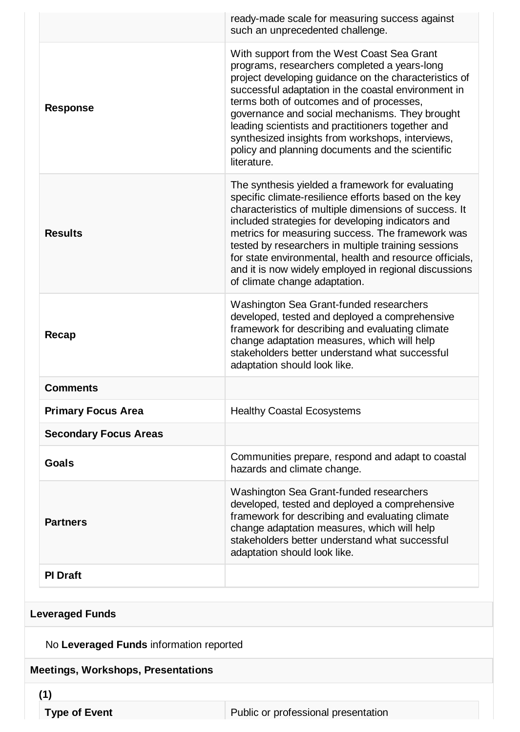|                              | ready-made scale for measuring success against<br>such an unprecedented challenge.                                                                                                                                                                                                                                                                                                                                                                                                     |
|------------------------------|----------------------------------------------------------------------------------------------------------------------------------------------------------------------------------------------------------------------------------------------------------------------------------------------------------------------------------------------------------------------------------------------------------------------------------------------------------------------------------------|
| <b>Response</b>              | With support from the West Coast Sea Grant<br>programs, researchers completed a years-long<br>project developing guidance on the characteristics of<br>successful adaptation in the coastal environment in<br>terms both of outcomes and of processes,<br>governance and social mechanisms. They brought<br>leading scientists and practitioners together and<br>synthesized insights from workshops, interviews,<br>policy and planning documents and the scientific<br>literature.   |
| <b>Results</b>               | The synthesis yielded a framework for evaluating<br>specific climate-resilience efforts based on the key<br>characteristics of multiple dimensions of success. It<br>included strategies for developing indicators and<br>metrics for measuring success. The framework was<br>tested by researchers in multiple training sessions<br>for state environmental, health and resource officials,<br>and it is now widely employed in regional discussions<br>of climate change adaptation. |
| Recap                        | Washington Sea Grant-funded researchers<br>developed, tested and deployed a comprehensive<br>framework for describing and evaluating climate<br>change adaptation measures, which will help<br>stakeholders better understand what successful<br>adaptation should look like.                                                                                                                                                                                                          |
| <b>Comments</b>              |                                                                                                                                                                                                                                                                                                                                                                                                                                                                                        |
| <b>Primary Focus Area</b>    | <b>Healthy Coastal Ecosystems</b>                                                                                                                                                                                                                                                                                                                                                                                                                                                      |
| <b>Secondary Focus Areas</b> |                                                                                                                                                                                                                                                                                                                                                                                                                                                                                        |
| Goals                        | Communities prepare, respond and adapt to coastal<br>hazards and climate change.                                                                                                                                                                                                                                                                                                                                                                                                       |
| <b>Partners</b>              | Washington Sea Grant-funded researchers<br>developed, tested and deployed a comprehensive<br>framework for describing and evaluating climate<br>change adaptation measures, which will help<br>stakeholders better understand what successful<br>adaptation should look like.                                                                                                                                                                                                          |
| <b>PI Draft</b>              |                                                                                                                                                                                                                                                                                                                                                                                                                                                                                        |

No **Leveraged Funds** information reported

## **Meetings, Workshops, Presentations**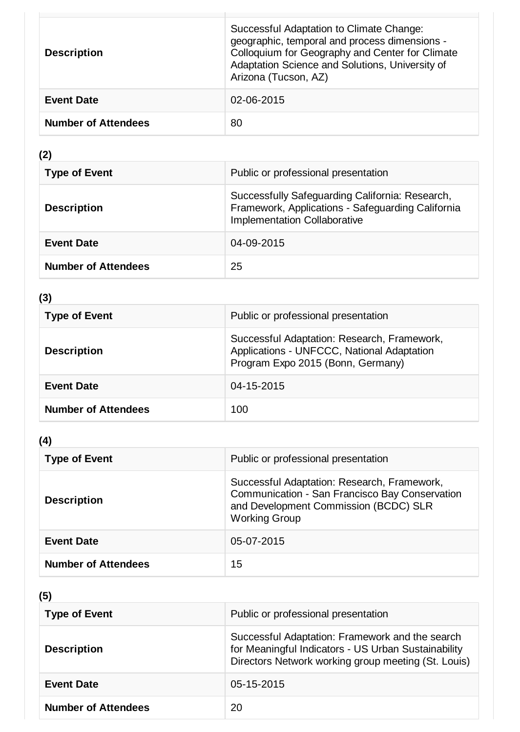| <b>Description</b>         | Successful Adaptation to Climate Change:<br>geographic, temporal and process dimensions -<br>Colloquium for Geography and Center for Climate<br>Adaptation Science and Solutions, University of<br>Arizona (Tucson, AZ) |
|----------------------------|-------------------------------------------------------------------------------------------------------------------------------------------------------------------------------------------------------------------------|
| <b>Event Date</b>          | 02-06-2015                                                                                                                                                                                                              |
| <b>Number of Attendees</b> | 80                                                                                                                                                                                                                      |

# **(2)**

| <b>Type of Event</b>       | Public or professional presentation                                                                                                         |
|----------------------------|---------------------------------------------------------------------------------------------------------------------------------------------|
| <b>Description</b>         | Successfully Safeguarding California: Research,<br>Framework, Applications - Safeguarding California<br><b>Implementation Collaborative</b> |
| <b>Event Date</b>          | 04-09-2015                                                                                                                                  |
| <b>Number of Attendees</b> | 25                                                                                                                                          |

# **(3)**

| <b>Type of Event</b>       | Public or professional presentation                                                                                            |
|----------------------------|--------------------------------------------------------------------------------------------------------------------------------|
| <b>Description</b>         | Successful Adaptation: Research, Framework,<br>Applications - UNFCCC, National Adaptation<br>Program Expo 2015 (Bonn, Germany) |
| <b>Event Date</b>          | 04-15-2015                                                                                                                     |
| <b>Number of Attendees</b> | 100                                                                                                                            |

# **(4)**

| <b>Type of Event</b>       | Public or professional presentation                                                                                                                            |
|----------------------------|----------------------------------------------------------------------------------------------------------------------------------------------------------------|
| <b>Description</b>         | Successful Adaptation: Research, Framework,<br>Communication - San Francisco Bay Conservation<br>and Development Commission (BCDC) SLR<br><b>Working Group</b> |
| <b>Event Date</b>          | 05-07-2015                                                                                                                                                     |
| <b>Number of Attendees</b> | 15                                                                                                                                                             |

# **(5)**

| <b>Type of Event</b>       | Public or professional presentation                                                                                                                           |
|----------------------------|---------------------------------------------------------------------------------------------------------------------------------------------------------------|
| <b>Description</b>         | Successful Adaptation: Framework and the search<br>for Meaningful Indicators - US Urban Sustainability<br>Directors Network working group meeting (St. Louis) |
| <b>Event Date</b>          | 05-15-2015                                                                                                                                                    |
| <b>Number of Attendees</b> | 20                                                                                                                                                            |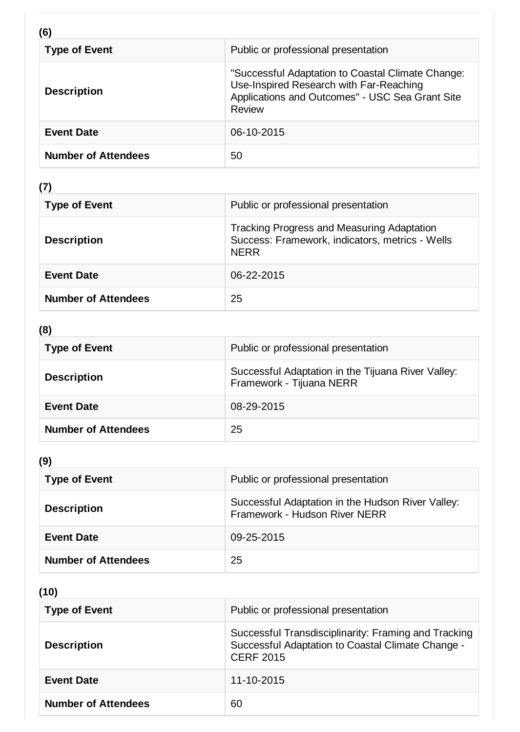| (6)                        |                                                                                                                                                           |
|----------------------------|-----------------------------------------------------------------------------------------------------------------------------------------------------------|
| <b>Type of Event</b>       | Public or professional presentation                                                                                                                       |
| <b>Description</b>         | "Successful Adaptation to Coastal Climate Change:<br>Use-Inspired Research with Far-Reaching<br>Applications and Outcomes" - USC Sea Grant Site<br>Review |
| <b>Event Date</b>          | 06-10-2015                                                                                                                                                |
| <b>Number of Attendees</b> | 50                                                                                                                                                        |

**(7)**

| <b>Type of Event</b>       | Public or professional presentation                                                                                 |
|----------------------------|---------------------------------------------------------------------------------------------------------------------|
| <b>Description</b>         | <b>Tracking Progress and Measuring Adaptation</b><br>Success: Framework, indicators, metrics - Wells<br><b>NERR</b> |
| <b>Event Date</b>          | 06-22-2015                                                                                                          |
| <b>Number of Attendees</b> | 25                                                                                                                  |

# **(8)**

| <b>Type of Event</b>       | Public or professional presentation                                            |
|----------------------------|--------------------------------------------------------------------------------|
| <b>Description</b>         | Successful Adaptation in the Tijuana River Valley:<br>Framework - Tijuana NERR |
| <b>Event Date</b>          | 08-29-2015                                                                     |
| <b>Number of Attendees</b> | 25                                                                             |

# **(9)**

| <b>Type of Event</b>       | Public or professional presentation                                                |
|----------------------------|------------------------------------------------------------------------------------|
| <b>Description</b>         | Successful Adaptation in the Hudson River Valley:<br>Framework - Hudson River NERR |
| <b>Event Date</b>          | 09-25-2015                                                                         |
| <b>Number of Attendees</b> | 25                                                                                 |

**(10)**

| <b>Type of Event</b>       | Public or professional presentation                                                                                           |
|----------------------------|-------------------------------------------------------------------------------------------------------------------------------|
| <b>Description</b>         | Successful Transdisciplinarity: Framing and Tracking<br>Successful Adaptation to Coastal Climate Change -<br><b>CERF 2015</b> |
| <b>Event Date</b>          | 11-10-2015                                                                                                                    |
| <b>Number of Attendees</b> | 60                                                                                                                            |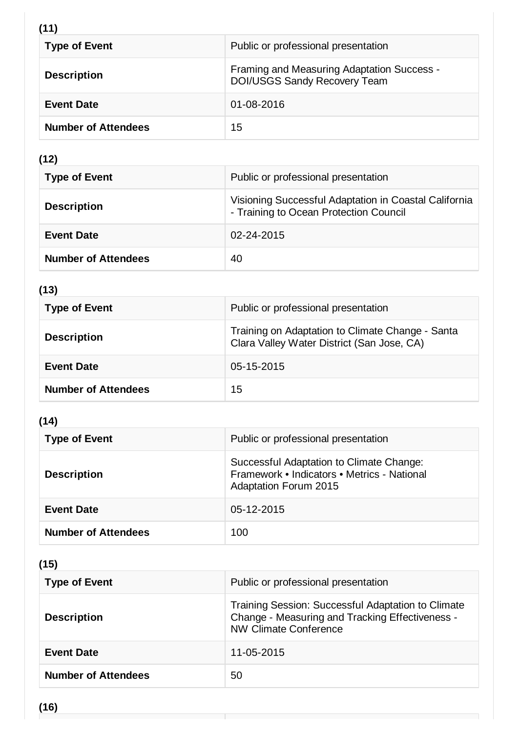# **(11)**

| <b>Type of Event</b>       | Public or professional presentation                                               |
|----------------------------|-----------------------------------------------------------------------------------|
| <b>Description</b>         | Framing and Measuring Adaptation Success -<br><b>DOI/USGS Sandy Recovery Team</b> |
| <b>Event Date</b>          | 01-08-2016                                                                        |
| <b>Number of Attendees</b> | 15                                                                                |

# **(12)**

| <b>Type of Event</b>       | Public or professional presentation                                                             |
|----------------------------|-------------------------------------------------------------------------------------------------|
| <b>Description</b>         | Visioning Successful Adaptation in Coastal California<br>- Training to Ocean Protection Council |
| <b>Event Date</b>          | 02-24-2015                                                                                      |
| <b>Number of Attendees</b> | 40                                                                                              |

# **(13)**

| <b>Type of Event</b>       | Public or professional presentation                                                            |
|----------------------------|------------------------------------------------------------------------------------------------|
| <b>Description</b>         | Training on Adaptation to Climate Change - Santa<br>Clara Valley Water District (San Jose, CA) |
| <b>Event Date</b>          | 05-15-2015                                                                                     |
| <b>Number of Attendees</b> | 15                                                                                             |

# **(14)**

| <b>Type of Event</b>       | Public or professional presentation                                                                                     |
|----------------------------|-------------------------------------------------------------------------------------------------------------------------|
| <b>Description</b>         | Successful Adaptation to Climate Change:<br>Framework • Indicators • Metrics - National<br><b>Adaptation Forum 2015</b> |
| <b>Event Date</b>          | 05-12-2015                                                                                                              |
| <b>Number of Attendees</b> | 100                                                                                                                     |

# **(15)**

| <b>Type of Event</b>       | Public or professional presentation                                                                                            |
|----------------------------|--------------------------------------------------------------------------------------------------------------------------------|
| <b>Description</b>         | Training Session: Successful Adaptation to Climate<br>Change - Measuring and Tracking Effectiveness -<br>NW Climate Conference |
| <b>Event Date</b>          | 11-05-2015                                                                                                                     |
| <b>Number of Attendees</b> | 50                                                                                                                             |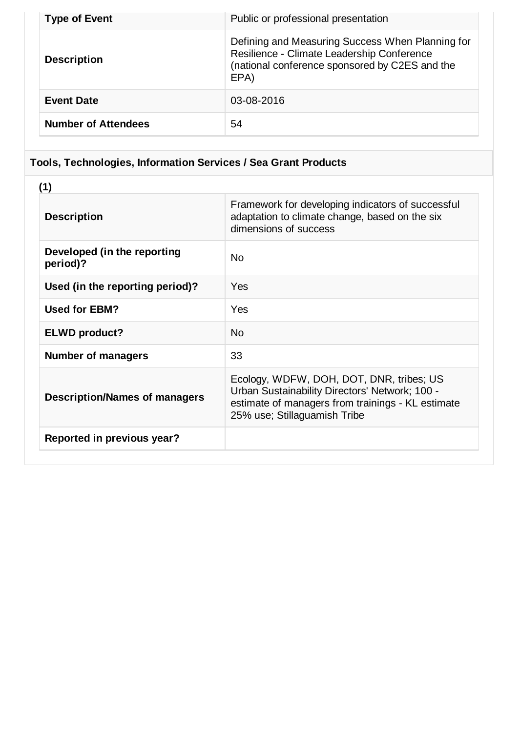| <b>Type of Event</b>       | Public or professional presentation                                                                                                                      |
|----------------------------|----------------------------------------------------------------------------------------------------------------------------------------------------------|
| <b>Description</b>         | Defining and Measuring Success When Planning for<br>Resilience - Climate Leadership Conference<br>(national conference sponsored by C2ES and the<br>EPA) |
| <b>Event Date</b>          | 03-08-2016                                                                                                                                               |
| <b>Number of Attendees</b> | 54                                                                                                                                                       |

# **Tools, Technologies, Information Services / Sea Grant Products**

| Framework for developing indicators of successful<br>adaptation to climate change, based on the six<br>dimensions of success                                                    |
|---------------------------------------------------------------------------------------------------------------------------------------------------------------------------------|
| <b>No</b>                                                                                                                                                                       |
| Yes                                                                                                                                                                             |
| Yes                                                                                                                                                                             |
| <b>No</b>                                                                                                                                                                       |
| 33                                                                                                                                                                              |
| Ecology, WDFW, DOH, DOT, DNR, tribes; US<br>Urban Sustainability Directors' Network; 100 -<br>estimate of managers from trainings - KL estimate<br>25% use; Stillaguamish Tribe |
|                                                                                                                                                                                 |
|                                                                                                                                                                                 |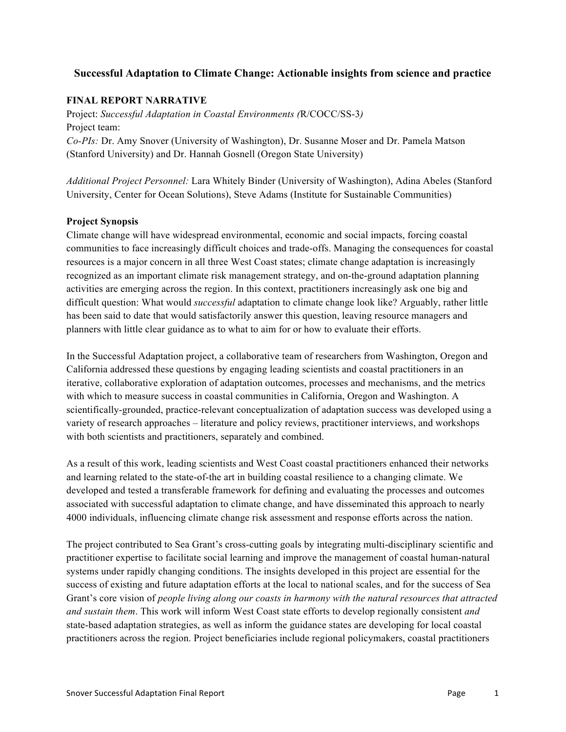### **Successful Adaptation to Climate Change: Actionable insights from science and practice**

### **FINAL REPORT NARRATIVE**

Project: *Successful Adaptation in Coastal Environments (*R/COCC/SS-3*)* Project team: *Co-PIs:* Dr. Amy Snover (University of Washington), Dr. Susanne Moser and Dr. Pamela Matson (Stanford University) and Dr. Hannah Gosnell (Oregon State University)

*Additional Project Personnel:* Lara Whitely Binder (University of Washington), Adina Abeles (Stanford University, Center for Ocean Solutions), Steve Adams (Institute for Sustainable Communities)

#### **Project Synopsis**

Climate change will have widespread environmental, economic and social impacts, forcing coastal communities to face increasingly difficult choices and trade-offs. Managing the consequences for coastal resources is a major concern in all three West Coast states; climate change adaptation is increasingly recognized as an important climate risk management strategy, and on-the-ground adaptation planning activities are emerging across the region. In this context, practitioners increasingly ask one big and difficult question: What would *successful* adaptation to climate change look like? Arguably, rather little has been said to date that would satisfactorily answer this question, leaving resource managers and planners with little clear guidance as to what to aim for or how to evaluate their efforts.

In the Successful Adaptation project, a collaborative team of researchers from Washington, Oregon and California addressed these questions by engaging leading scientists and coastal practitioners in an iterative, collaborative exploration of adaptation outcomes, processes and mechanisms, and the metrics with which to measure success in coastal communities in California, Oregon and Washington. A scientifically-grounded, practice-relevant conceptualization of adaptation success was developed using a variety of research approaches – literature and policy reviews, practitioner interviews, and workshops with both scientists and practitioners, separately and combined.

As a result of this work, leading scientists and West Coast coastal practitioners enhanced their networks and learning related to the state-of-the art in building coastal resilience to a changing climate. We developed and tested a transferable framework for defining and evaluating the processes and outcomes associated with successful adaptation to climate change, and have disseminated this approach to nearly 4000 individuals, influencing climate change risk assessment and response efforts across the nation.

The project contributed to Sea Grant's cross-cutting goals by integrating multi-disciplinary scientific and practitioner expertise to facilitate social learning and improve the management of coastal human-natural systems under rapidly changing conditions. The insights developed in this project are essential for the success of existing and future adaptation efforts at the local to national scales, and for the success of Sea Grant's core vision of *people living along our coasts in harmony with the natural resources that attracted and sustain them*. This work will inform West Coast state efforts to develop regionally consistent *and* state-based adaptation strategies, as well as inform the guidance states are developing for local coastal practitioners across the region. Project beneficiaries include regional policymakers, coastal practitioners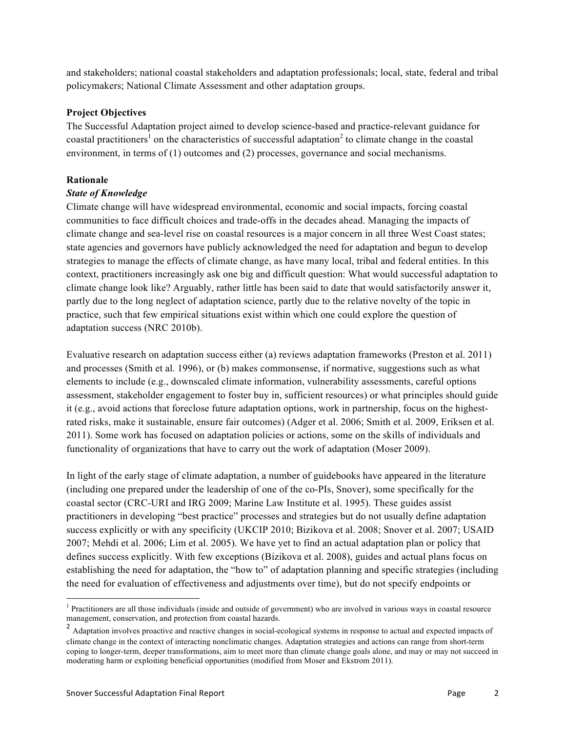and stakeholders; national coastal stakeholders and adaptation professionals; local, state, federal and tribal policymakers; National Climate Assessment and other adaptation groups.

#### **Project Objectives**

The Successful Adaptation project aimed to develop science-based and practice-relevant guidance for coastal practitioners<sup>1</sup> on the characteristics of successful adaptation<sup>2</sup> to climate change in the coastal environment, in terms of (1) outcomes and (2) processes, governance and social mechanisms.

### **Rationale**

#### *State of Knowledge*

Climate change will have widespread environmental, economic and social impacts, forcing coastal communities to face difficult choices and trade-offs in the decades ahead. Managing the impacts of climate change and sea-level rise on coastal resources is a major concern in all three West Coast states; state agencies and governors have publicly acknowledged the need for adaptation and begun to develop strategies to manage the effects of climate change, as have many local, tribal and federal entities. In this context, practitioners increasingly ask one big and difficult question: What would successful adaptation to climate change look like? Arguably, rather little has been said to date that would satisfactorily answer it, partly due to the long neglect of adaptation science, partly due to the relative novelty of the topic in practice, such that few empirical situations exist within which one could explore the question of adaptation success (NRC 2010b).

Evaluative research on adaptation success either (a) reviews adaptation frameworks (Preston et al. 2011) and processes (Smith et al. 1996), or (b) makes commonsense, if normative, suggestions such as what elements to include (e.g., downscaled climate information, vulnerability assessments, careful options assessment, stakeholder engagement to foster buy in, sufficient resources) or what principles should guide it (e.g., avoid actions that foreclose future adaptation options, work in partnership, focus on the highestrated risks, make it sustainable, ensure fair outcomes) (Adger et al. 2006; Smith et al. 2009, Eriksen et al. 2011). Some work has focused on adaptation policies or actions, some on the skills of individuals and functionality of organizations that have to carry out the work of adaptation (Moser 2009).

In light of the early stage of climate adaptation, a number of guidebooks have appeared in the literature (including one prepared under the leadership of one of the co-PIs, Snover), some specifically for the coastal sector (CRC-URI and IRG 2009; Marine Law Institute et al. 1995). These guides assist practitioners in developing "best practice" processes and strategies but do not usually define adaptation success explicitly or with any specificity (UKCIP 2010; Bizikova et al. 2008; Snover et al. 2007; USAID 2007; Mehdi et al. 2006; Lim et al. 2005). We have yet to find an actual adaptation plan or policy that defines success explicitly. With few exceptions (Bizikova et al. 2008), guides and actual plans focus on establishing the need for adaptation, the "how to" of adaptation planning and specific strategies (including the need for evaluation of effectiveness and adjustments over time), but do not specify endpoints or

<sup>&</sup>lt;sup>1</sup> Practitioners are all those individuals (inside and outside of government) who are involved in various ways in coastal resource management, conservation, and protection from coastal hazards.

<sup>&</sup>lt;sup>2</sup> Adaptation involves proactive and reactive changes in social-ecological systems in response to actual and expected impacts of climate change in the context of interacting nonclimatic changes. Adaptation strategies and actions can range from short-term coping to longer-term, deeper transformations, aim to meet more than climate change goals alone, and may or may not succeed in moderating harm or exploiting beneficial opportunities (modified from Moser and Ekstrom 2011).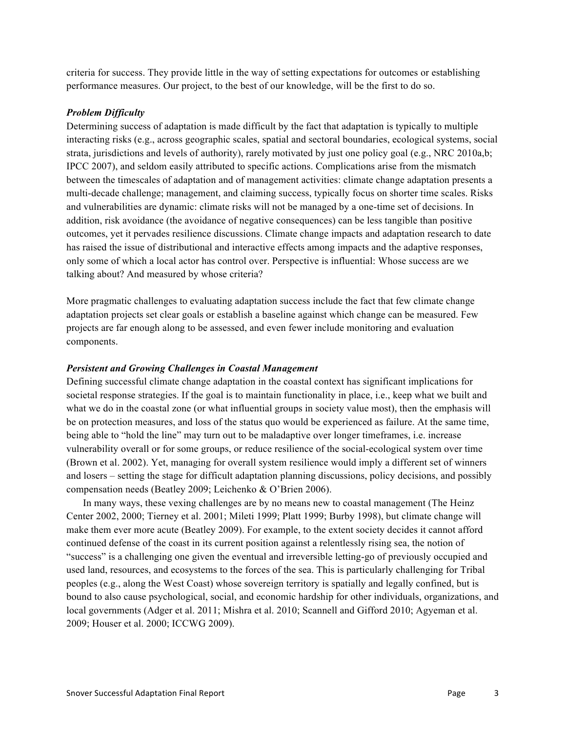criteria for success. They provide little in the way of setting expectations for outcomes or establishing performance measures. Our project, to the best of our knowledge, will be the first to do so.

#### *Problem Difficulty*

Determining success of adaptation is made difficult by the fact that adaptation is typically to multiple interacting risks (e.g., across geographic scales, spatial and sectoral boundaries, ecological systems, social strata, jurisdictions and levels of authority), rarely motivated by just one policy goal (e.g., NRC 2010a,b; IPCC 2007), and seldom easily attributed to specific actions. Complications arise from the mismatch between the timescales of adaptation and of management activities: climate change adaptation presents a multi-decade challenge; management, and claiming success, typically focus on shorter time scales. Risks and vulnerabilities are dynamic: climate risks will not be managed by a one-time set of decisions. In addition, risk avoidance (the avoidance of negative consequences) can be less tangible than positive outcomes, yet it pervades resilience discussions. Climate change impacts and adaptation research to date has raised the issue of distributional and interactive effects among impacts and the adaptive responses, only some of which a local actor has control over. Perspective is influential: Whose success are we talking about? And measured by whose criteria?

More pragmatic challenges to evaluating adaptation success include the fact that few climate change adaptation projects set clear goals or establish a baseline against which change can be measured. Few projects are far enough along to be assessed, and even fewer include monitoring and evaluation components.

#### *Persistent and Growing Challenges in Coastal Management*

Defining successful climate change adaptation in the coastal context has significant implications for societal response strategies. If the goal is to maintain functionality in place, i.e., keep what we built and what we do in the coastal zone (or what influential groups in society value most), then the emphasis will be on protection measures, and loss of the status quo would be experienced as failure. At the same time, being able to "hold the line" may turn out to be maladaptive over longer timeframes, i.e. increase vulnerability overall or for some groups, or reduce resilience of the social-ecological system over time (Brown et al. 2002). Yet, managing for overall system resilience would imply a different set of winners and losers – setting the stage for difficult adaptation planning discussions, policy decisions, and possibly compensation needs (Beatley 2009; Leichenko & O'Brien 2006).

In many ways, these vexing challenges are by no means new to coastal management (The Heinz Center 2002, 2000; Tierney et al. 2001; Mileti 1999; Platt 1999; Burby 1998), but climate change will make them ever more acute (Beatley 2009). For example, to the extent society decides it cannot afford continued defense of the coast in its current position against a relentlessly rising sea, the notion of "success" is a challenging one given the eventual and irreversible letting-go of previously occupied and used land, resources, and ecosystems to the forces of the sea. This is particularly challenging for Tribal peoples (e.g., along the West Coast) whose sovereign territory is spatially and legally confined, but is bound to also cause psychological, social, and economic hardship for other individuals, organizations, and local governments (Adger et al. 2011; Mishra et al. 2010; Scannell and Gifford 2010; Agyeman et al. 2009; Houser et al. 2000; ICCWG 2009).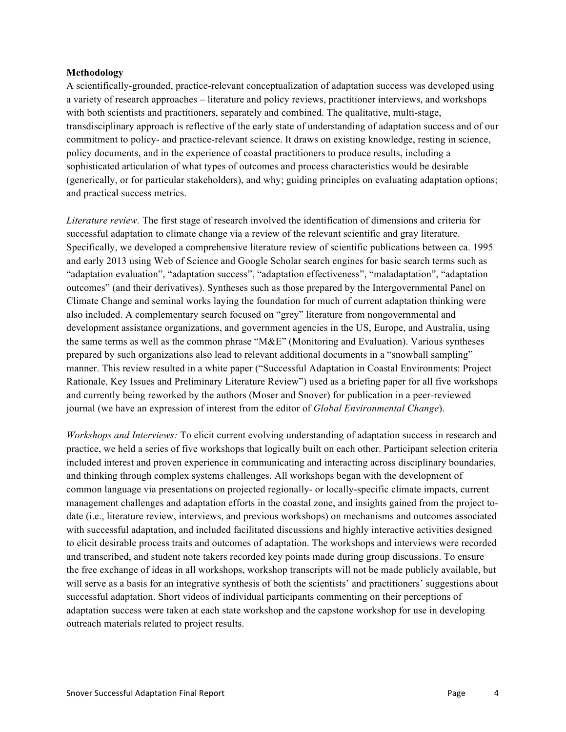#### **Methodology**

A scientifically-grounded, practice-relevant conceptualization of adaptation success was developed using a variety of research approaches – literature and policy reviews, practitioner interviews, and workshops with both scientists and practitioners, separately and combined. The qualitative, multi-stage, transdisciplinary approach is reflective of the early state of understanding of adaptation success and of our commitment to policy- and practice-relevant science. It draws on existing knowledge, resting in science, policy documents, and in the experience of coastal practitioners to produce results, including a sophisticated articulation of what types of outcomes and process characteristics would be desirable (generically, or for particular stakeholders), and why; guiding principles on evaluating adaptation options; and practical success metrics.

*Literature review.* The first stage of research involved the identification of dimensions and criteria for successful adaptation to climate change via a review of the relevant scientific and gray literature. Specifically, we developed a comprehensive literature review of scientific publications between ca. 1995 and early 2013 using Web of Science and Google Scholar search engines for basic search terms such as "adaptation evaluation", "adaptation success", "adaptation effectiveness", "maladaptation", "adaptation outcomes" (and their derivatives). Syntheses such as those prepared by the Intergovernmental Panel on Climate Change and seminal works laying the foundation for much of current adaptation thinking were also included. A complementary search focused on "grey" literature from nongovernmental and development assistance organizations, and government agencies in the US, Europe, and Australia, using the same terms as well as the common phrase "M&E" (Monitoring and Evaluation). Various syntheses prepared by such organizations also lead to relevant additional documents in a "snowball sampling" manner. This review resulted in a white paper ("Successful Adaptation in Coastal Environments: Project Rationale, Key Issues and Preliminary Literature Review") used as a briefing paper for all five workshops and currently being reworked by the authors (Moser and Snover) for publication in a peer-reviewed journal (we have an expression of interest from the editor of *Global Environmental Change*).

*Workshops and Interviews:* To elicit current evolving understanding of adaptation success in research and practice, we held a series of five workshops that logically built on each other. Participant selection criteria included interest and proven experience in communicating and interacting across disciplinary boundaries, and thinking through complex systems challenges. All workshops began with the development of common language via presentations on projected regionally- or locally-specific climate impacts, current management challenges and adaptation efforts in the coastal zone, and insights gained from the project todate (i.e., literature review, interviews, and previous workshops) on mechanisms and outcomes associated with successful adaptation, and included facilitated discussions and highly interactive activities designed to elicit desirable process traits and outcomes of adaptation. The workshops and interviews were recorded and transcribed, and student note takers recorded key points made during group discussions. To ensure the free exchange of ideas in all workshops, workshop transcripts will not be made publicly available, but will serve as a basis for an integrative synthesis of both the scientists' and practitioners' suggestions about successful adaptation. Short videos of individual participants commenting on their perceptions of adaptation success were taken at each state workshop and the capstone workshop for use in developing outreach materials related to project results.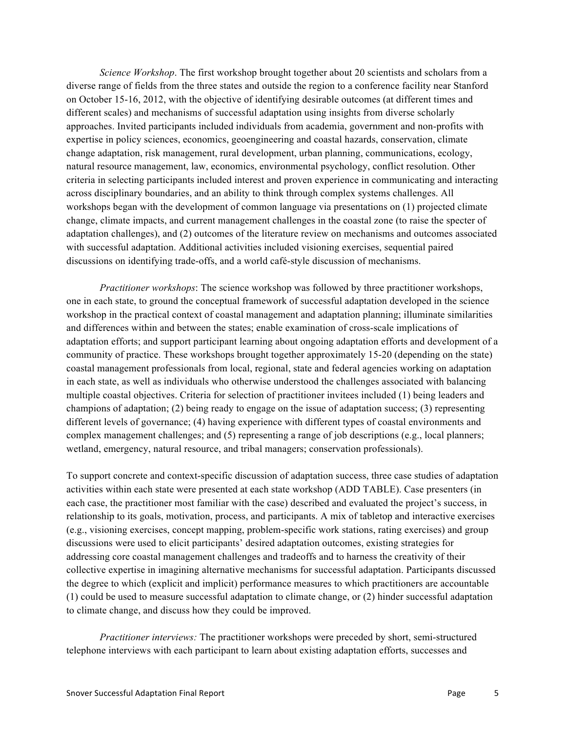*Science Workshop*. The first workshop brought together about 20 scientists and scholars from a diverse range of fields from the three states and outside the region to a conference facility near Stanford on October 15-16, 2012, with the objective of identifying desirable outcomes (at different times and different scales) and mechanisms of successful adaptation using insights from diverse scholarly approaches. Invited participants included individuals from academia, government and non-profits with expertise in policy sciences, economics, geoengineering and coastal hazards, conservation, climate change adaptation, risk management, rural development, urban planning, communications, ecology, natural resource management, law, economics, environmental psychology, conflict resolution. Other criteria in selecting participants included interest and proven experience in communicating and interacting across disciplinary boundaries, and an ability to think through complex systems challenges. All workshops began with the development of common language via presentations on (1) projected climate change, climate impacts, and current management challenges in the coastal zone (to raise the specter of adaptation challenges), and (2) outcomes of the literature review on mechanisms and outcomes associated with successful adaptation. Additional activities included visioning exercises, sequential paired discussions on identifying trade-offs, and a world café-style discussion of mechanisms.

*Practitioner workshops*: The science workshop was followed by three practitioner workshops, one in each state, to ground the conceptual framework of successful adaptation developed in the science workshop in the practical context of coastal management and adaptation planning; illuminate similarities and differences within and between the states; enable examination of cross-scale implications of adaptation efforts; and support participant learning about ongoing adaptation efforts and development of a community of practice. These workshops brought together approximately 15-20 (depending on the state) coastal management professionals from local, regional, state and federal agencies working on adaptation in each state, as well as individuals who otherwise understood the challenges associated with balancing multiple coastal objectives. Criteria for selection of practitioner invitees included (1) being leaders and champions of adaptation; (2) being ready to engage on the issue of adaptation success; (3) representing different levels of governance; (4) having experience with different types of coastal environments and complex management challenges; and (5) representing a range of job descriptions (e.g., local planners; wetland, emergency, natural resource, and tribal managers; conservation professionals).

To support concrete and context-specific discussion of adaptation success, three case studies of adaptation activities within each state were presented at each state workshop (ADD TABLE). Case presenters (in each case, the practitioner most familiar with the case) described and evaluated the project's success, in relationship to its goals, motivation, process, and participants. A mix of tabletop and interactive exercises (e.g., visioning exercises, concept mapping, problem-specific work stations, rating exercises) and group discussions were used to elicit participants' desired adaptation outcomes, existing strategies for addressing core coastal management challenges and tradeoffs and to harness the creativity of their collective expertise in imagining alternative mechanisms for successful adaptation. Participants discussed the degree to which (explicit and implicit) performance measures to which practitioners are accountable (1) could be used to measure successful adaptation to climate change, or (2) hinder successful adaptation to climate change, and discuss how they could be improved.

*Practitioner interviews:* The practitioner workshops were preceded by short, semi-structured telephone interviews with each participant to learn about existing adaptation efforts, successes and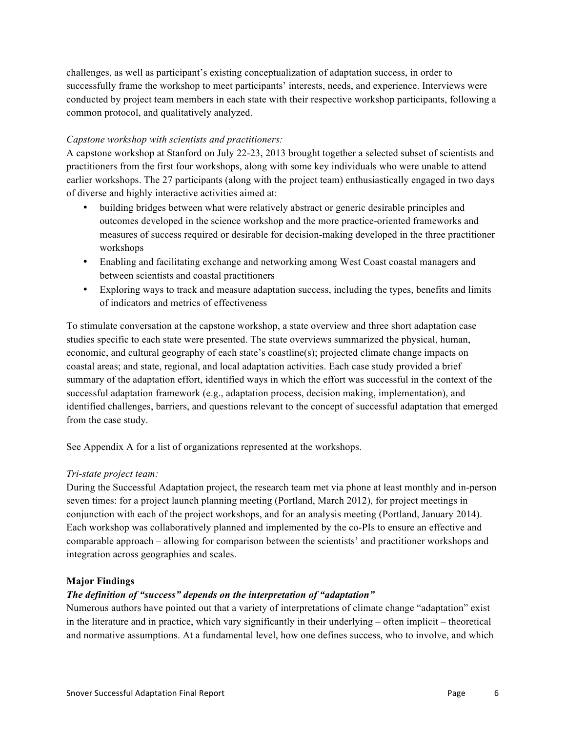challenges, as well as participant's existing conceptualization of adaptation success, in order to successfully frame the workshop to meet participants' interests, needs, and experience. Interviews were conducted by project team members in each state with their respective workshop participants, following a common protocol, and qualitatively analyzed.

### *Capstone workshop with scientists and practitioners:*

A capstone workshop at Stanford on July 22-23, 2013 brought together a selected subset of scientists and practitioners from the first four workshops, along with some key individuals who were unable to attend earlier workshops. The 27 participants (along with the project team) enthusiastically engaged in two days of diverse and highly interactive activities aimed at:

- building bridges between what were relatively abstract or generic desirable principles and outcomes developed in the science workshop and the more practice-oriented frameworks and measures of success required or desirable for decision-making developed in the three practitioner workshops
- Enabling and facilitating exchange and networking among West Coast coastal managers and between scientists and coastal practitioners
- Exploring ways to track and measure adaptation success, including the types, benefits and limits of indicators and metrics of effectiveness

To stimulate conversation at the capstone workshop, a state overview and three short adaptation case studies specific to each state were presented. The state overviews summarized the physical, human, economic, and cultural geography of each state's coastline(s); projected climate change impacts on coastal areas; and state, regional, and local adaptation activities. Each case study provided a brief summary of the adaptation effort, identified ways in which the effort was successful in the context of the successful adaptation framework (e.g., adaptation process, decision making, implementation), and identified challenges, barriers, and questions relevant to the concept of successful adaptation that emerged from the case study.

See Appendix A for a list of organizations represented at the workshops.

#### *Tri-state project team:*

During the Successful Adaptation project, the research team met via phone at least monthly and in-person seven times: for a project launch planning meeting (Portland, March 2012), for project meetings in conjunction with each of the project workshops, and for an analysis meeting (Portland, January 2014). Each workshop was collaboratively planned and implemented by the co-PIs to ensure an effective and comparable approach – allowing for comparison between the scientists' and practitioner workshops and integration across geographies and scales.

#### **Major Findings**

### *The definition of "success" depends on the interpretation of "adaptation"*

Numerous authors have pointed out that a variety of interpretations of climate change "adaptation" exist in the literature and in practice, which vary significantly in their underlying – often implicit – theoretical and normative assumptions. At a fundamental level, how one defines success, who to involve, and which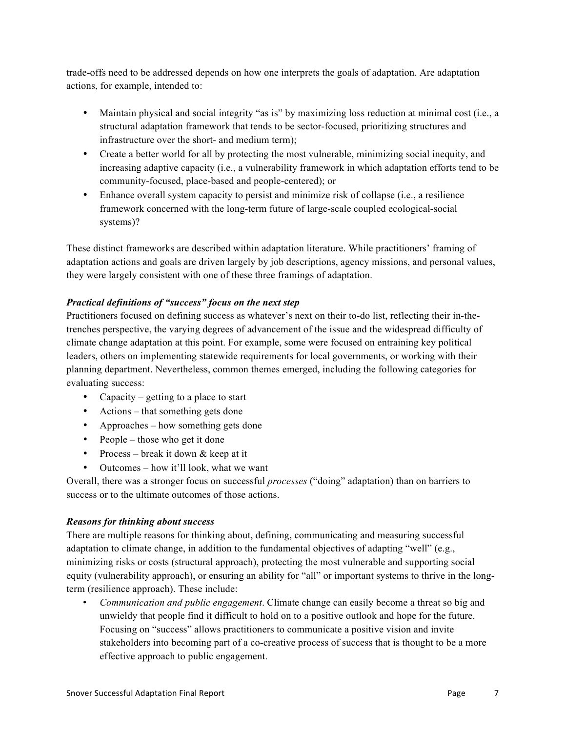trade-offs need to be addressed depends on how one interprets the goals of adaptation. Are adaptation actions, for example, intended to:

- Maintain physical and social integrity "as is" by maximizing loss reduction at minimal cost (i.e., a structural adaptation framework that tends to be sector-focused, prioritizing structures and infrastructure over the short- and medium term);
- Create a better world for all by protecting the most vulnerable, minimizing social inequity, and increasing adaptive capacity (i.e., a vulnerability framework in which adaptation efforts tend to be community-focused, place-based and people-centered); or
- Enhance overall system capacity to persist and minimize risk of collapse (i.e., a resilience framework concerned with the long-term future of large-scale coupled ecological-social systems)?

These distinct frameworks are described within adaptation literature. While practitioners' framing of adaptation actions and goals are driven largely by job descriptions, agency missions, and personal values, they were largely consistent with one of these three framings of adaptation.

### *Practical definitions of "success" focus on the next step*

Practitioners focused on defining success as whatever's next on their to-do list, reflecting their in-thetrenches perspective, the varying degrees of advancement of the issue and the widespread difficulty of climate change adaptation at this point. For example, some were focused on entraining key political leaders, others on implementing statewide requirements for local governments, or working with their planning department. Nevertheless, common themes emerged, including the following categories for evaluating success:

- Capacity getting to a place to start
- Actions that something gets done
- Approaches how something gets done
- People those who get it done
- Process break it down & keep at it
- Outcomes how it'll look, what we want

Overall, there was a stronger focus on successful *processes* ("doing" adaptation) than on barriers to success or to the ultimate outcomes of those actions.

### *Reasons for thinking about success*

There are multiple reasons for thinking about, defining, communicating and measuring successful adaptation to climate change, in addition to the fundamental objectives of adapting "well" (e.g., minimizing risks or costs (structural approach), protecting the most vulnerable and supporting social equity (vulnerability approach), or ensuring an ability for "all" or important systems to thrive in the longterm (resilience approach). These include:

• *Communication and public engagement*. Climate change can easily become a threat so big and unwieldy that people find it difficult to hold on to a positive outlook and hope for the future. Focusing on "success" allows practitioners to communicate a positive vision and invite stakeholders into becoming part of a co-creative process of success that is thought to be a more effective approach to public engagement.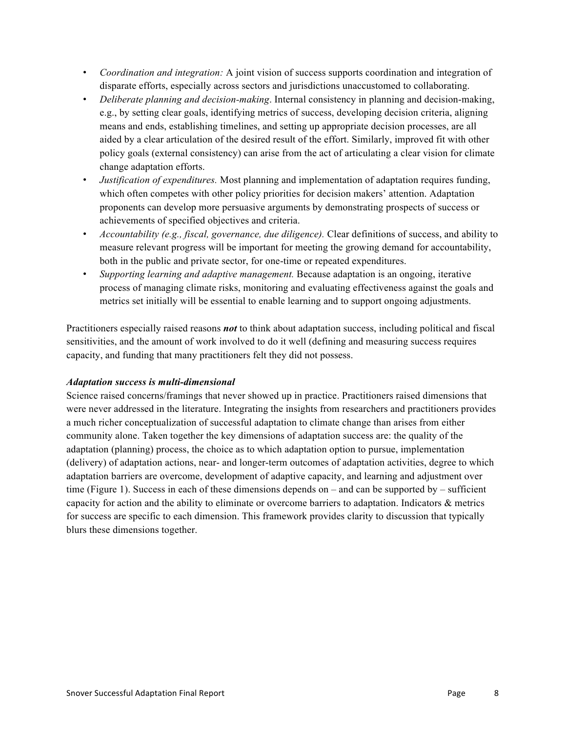- *Coordination and integration:* A joint vision of success supports coordination and integration of disparate efforts, especially across sectors and jurisdictions unaccustomed to collaborating.
- *Deliberate planning and decision-making*. Internal consistency in planning and decision-making, e.g., by setting clear goals, identifying metrics of success, developing decision criteria, aligning means and ends, establishing timelines, and setting up appropriate decision processes, are all aided by a clear articulation of the desired result of the effort. Similarly, improved fit with other policy goals (external consistency) can arise from the act of articulating a clear vision for climate change adaptation efforts.
- *Justification of expenditures.* Most planning and implementation of adaptation requires funding, which often competes with other policy priorities for decision makers' attention. Adaptation proponents can develop more persuasive arguments by demonstrating prospects of success or achievements of specified objectives and criteria.
- *Accountability (e.g., fiscal, governance, due diligence).* Clear definitions of success, and ability to measure relevant progress will be important for meeting the growing demand for accountability, both in the public and private sector, for one-time or repeated expenditures.
- *Supporting learning and adaptive management.* Because adaptation is an ongoing, iterative process of managing climate risks, monitoring and evaluating effectiveness against the goals and metrics set initially will be essential to enable learning and to support ongoing adjustments.

Practitioners especially raised reasons *not* to think about adaptation success, including political and fiscal sensitivities, and the amount of work involved to do it well (defining and measuring success requires capacity, and funding that many practitioners felt they did not possess.

### *Adaptation success is multi-dimensional*

Science raised concerns/framings that never showed up in practice. Practitioners raised dimensions that were never addressed in the literature. Integrating the insights from researchers and practitioners provides a much richer conceptualization of successful adaptation to climate change than arises from either community alone. Taken together the key dimensions of adaptation success are: the quality of the adaptation (planning) process, the choice as to which adaptation option to pursue, implementation (delivery) of adaptation actions, near- and longer-term outcomes of adaptation activities, degree to which adaptation barriers are overcome, development of adaptive capacity, and learning and adjustment over time (Figure 1). Success in each of these dimensions depends on – and can be supported by – sufficient capacity for action and the ability to eliminate or overcome barriers to adaptation. Indicators & metrics for success are specific to each dimension. This framework provides clarity to discussion that typically blurs these dimensions together.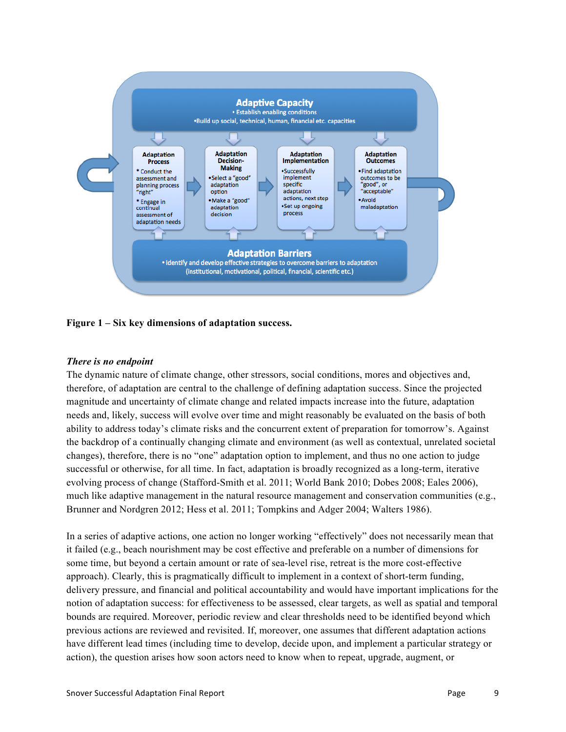

#### **Figure 1 – Six key dimensions of adaptation success.**

#### *There is no endpoint*

The dynamic nature of climate change, other stressors, social conditions, mores and objectives and, therefore, of adaptation are central to the challenge of defining adaptation success. Since the projected magnitude and uncertainty of climate change and related impacts increase into the future, adaptation needs and, likely, success will evolve over time and might reasonably be evaluated on the basis of both ability to address today's climate risks and the concurrent extent of preparation for tomorrow's. Against the backdrop of a continually changing climate and environment (as well as contextual, unrelated societal changes), therefore, there is no "one" adaptation option to implement, and thus no one action to judge successful or otherwise, for all time. In fact, adaptation is broadly recognized as a long-term, iterative evolving process of change (Stafford-Smith et al. 2011; World Bank 2010; Dobes 2008; Eales 2006), much like adaptive management in the natural resource management and conservation communities (e.g., Brunner and Nordgren 2012; Hess et al. 2011; Tompkins and Adger 2004; Walters 1986).

In a series of adaptive actions, one action no longer working "effectively" does not necessarily mean that it failed (e.g., beach nourishment may be cost effective and preferable on a number of dimensions for some time, but beyond a certain amount or rate of sea-level rise, retreat is the more cost-effective approach). Clearly, this is pragmatically difficult to implement in a context of short-term funding, delivery pressure, and financial and political accountability and would have important implications for the notion of adaptation success: for effectiveness to be assessed, clear targets, as well as spatial and temporal bounds are required. Moreover, periodic review and clear thresholds need to be identified beyond which previous actions are reviewed and revisited. If, moreover, one assumes that different adaptation actions have different lead times (including time to develop, decide upon, and implement a particular strategy or action), the question arises how soon actors need to know when to repeat, upgrade, augment, or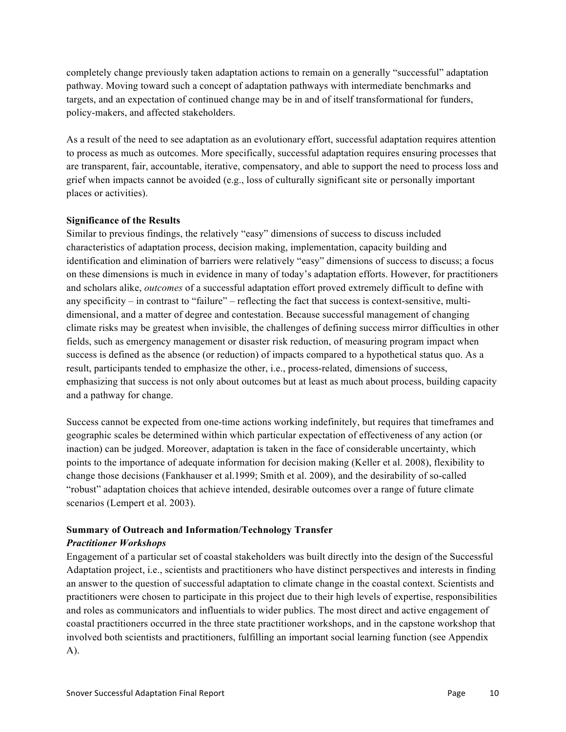completely change previously taken adaptation actions to remain on a generally "successful" adaptation pathway. Moving toward such a concept of adaptation pathways with intermediate benchmarks and targets, and an expectation of continued change may be in and of itself transformational for funders, policy-makers, and affected stakeholders.

As a result of the need to see adaptation as an evolutionary effort, successful adaptation requires attention to process as much as outcomes. More specifically, successful adaptation requires ensuring processes that are transparent, fair, accountable, iterative, compensatory, and able to support the need to process loss and grief when impacts cannot be avoided (e.g., loss of culturally significant site or personally important places or activities).

### **Significance of the Results**

Similar to previous findings, the relatively "easy" dimensions of success to discuss included characteristics of adaptation process, decision making, implementation, capacity building and identification and elimination of barriers were relatively "easy" dimensions of success to discuss; a focus on these dimensions is much in evidence in many of today's adaptation efforts. However, for practitioners and scholars alike, *outcomes* of a successful adaptation effort proved extremely difficult to define with any specificity – in contrast to "failure" – reflecting the fact that success is context-sensitive, multidimensional, and a matter of degree and contestation. Because successful management of changing climate risks may be greatest when invisible, the challenges of defining success mirror difficulties in other fields, such as emergency management or disaster risk reduction, of measuring program impact when success is defined as the absence (or reduction) of impacts compared to a hypothetical status quo. As a result, participants tended to emphasize the other, i.e., process-related, dimensions of success, emphasizing that success is not only about outcomes but at least as much about process, building capacity and a pathway for change.

Success cannot be expected from one-time actions working indefinitely, but requires that timeframes and geographic scales be determined within which particular expectation of effectiveness of any action (or inaction) can be judged. Moreover, adaptation is taken in the face of considerable uncertainty, which points to the importance of adequate information for decision making (Keller et al. 2008), flexibility to change those decisions (Fankhauser et al.1999; Smith et al. 2009), and the desirability of so-called "robust" adaptation choices that achieve intended, desirable outcomes over a range of future climate scenarios (Lempert et al. 2003).

## **Summary of Outreach and Information/Technology Transfer**

### *Practitioner Workshops*

Engagement of a particular set of coastal stakeholders was built directly into the design of the Successful Adaptation project, i.e., scientists and practitioners who have distinct perspectives and interests in finding an answer to the question of successful adaptation to climate change in the coastal context. Scientists and practitioners were chosen to participate in this project due to their high levels of expertise, responsibilities and roles as communicators and influentials to wider publics. The most direct and active engagement of coastal practitioners occurred in the three state practitioner workshops, and in the capstone workshop that involved both scientists and practitioners, fulfilling an important social learning function (see Appendix A).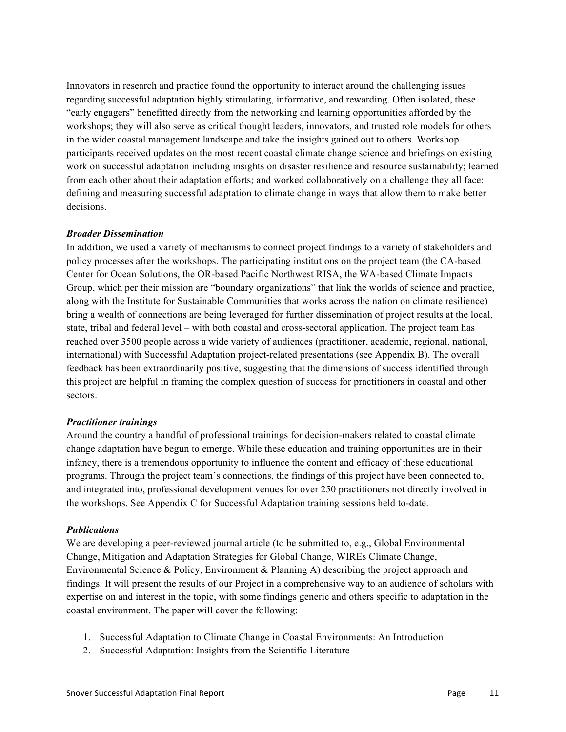Innovators in research and practice found the opportunity to interact around the challenging issues regarding successful adaptation highly stimulating, informative, and rewarding. Often isolated, these "early engagers" benefitted directly from the networking and learning opportunities afforded by the workshops; they will also serve as critical thought leaders, innovators, and trusted role models for others in the wider coastal management landscape and take the insights gained out to others. Workshop participants received updates on the most recent coastal climate change science and briefings on existing work on successful adaptation including insights on disaster resilience and resource sustainability; learned from each other about their adaptation efforts; and worked collaboratively on a challenge they all face: defining and measuring successful adaptation to climate change in ways that allow them to make better decisions.

#### *Broader Dissemination*

In addition, we used a variety of mechanisms to connect project findings to a variety of stakeholders and policy processes after the workshops. The participating institutions on the project team (the CA-based Center for Ocean Solutions, the OR-based Pacific Northwest RISA, the WA-based Climate Impacts Group, which per their mission are "boundary organizations" that link the worlds of science and practice, along with the Institute for Sustainable Communities that works across the nation on climate resilience) bring a wealth of connections are being leveraged for further dissemination of project results at the local, state, tribal and federal level – with both coastal and cross-sectoral application. The project team has reached over 3500 people across a wide variety of audiences (practitioner, academic, regional, national, international) with Successful Adaptation project-related presentations (see Appendix B). The overall feedback has been extraordinarily positive, suggesting that the dimensions of success identified through this project are helpful in framing the complex question of success for practitioners in coastal and other sectors.

#### *Practitioner trainings*

Around the country a handful of professional trainings for decision-makers related to coastal climate change adaptation have begun to emerge. While these education and training opportunities are in their infancy, there is a tremendous opportunity to influence the content and efficacy of these educational programs. Through the project team's connections, the findings of this project have been connected to, and integrated into, professional development venues for over 250 practitioners not directly involved in the workshops. See Appendix C for Successful Adaptation training sessions held to-date.

#### *Publications*

We are developing a peer-reviewed journal article (to be submitted to, e.g., Global Environmental Change, Mitigation and Adaptation Strategies for Global Change, WIREs Climate Change, Environmental Science & Policy, Environment & Planning A) describing the project approach and findings. It will present the results of our Project in a comprehensive way to an audience of scholars with expertise on and interest in the topic, with some findings generic and others specific to adaptation in the coastal environment. The paper will cover the following:

- 1. Successful Adaptation to Climate Change in Coastal Environments: An Introduction
- 2. Successful Adaptation: Insights from the Scientific Literature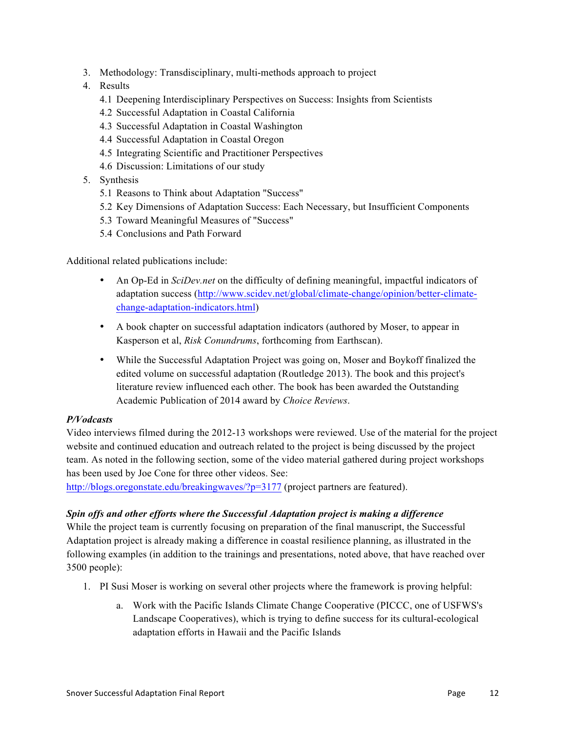- 3. Methodology: Transdisciplinary, multi-methods approach to project
- 4. Results
	- 4.1 Deepening Interdisciplinary Perspectives on Success: Insights from Scientists
	- 4.2 Successful Adaptation in Coastal California
	- 4.3 Successful Adaptation in Coastal Washington
	- 4.4 Successful Adaptation in Coastal Oregon
	- 4.5 Integrating Scientific and Practitioner Perspectives
	- 4.6 Discussion: Limitations of our study
- 5. Synthesis
	- 5.1 Reasons to Think about Adaptation "Success"
	- 5.2 Key Dimensions of Adaptation Success: Each Necessary, but Insufficient Components
	- 5.3 Toward Meaningful Measures of "Success"
	- 5.4 Conclusions and Path Forward

Additional related publications include:

- An Op-Ed in *SciDev.net* on the difficulty of defining meaningful, impactful indicators of adaptation success (http://www.scidev.net/global/climate-change/opinion/better-climatechange-adaptation-indicators.html)
- A book chapter on successful adaptation indicators (authored by Moser, to appear in Kasperson et al, *Risk Conundrums*, forthcoming from Earthscan).
- While the Successful Adaptation Project was going on, Moser and Boykoff finalized the edited volume on successful adaptation (Routledge 2013). The book and this project's literature review influenced each other. The book has been awarded the Outstanding Academic Publication of 2014 award by *Choice Reviews*.

#### *P/Vodcasts*

Video interviews filmed during the 2012-13 workshops were reviewed. Use of the material for the project website and continued education and outreach related to the project is being discussed by the project team. As noted in the following section, some of the video material gathered during project workshops has been used by Joe Cone for three other videos. See:

http://blogs.oregonstate.edu/breakingwaves/?p=3177 (project partners are featured).

### *Spin offs and other efforts where the Successful Adaptation project is making a difference*

While the project team is currently focusing on preparation of the final manuscript, the Successful Adaptation project is already making a difference in coastal resilience planning, as illustrated in the following examples (in addition to the trainings and presentations, noted above, that have reached over 3500 people):

- 1. PI Susi Moser is working on several other projects where the framework is proving helpful:
	- a. Work with the Pacific Islands Climate Change Cooperative (PICCC, one of USFWS's Landscape Cooperatives), which is trying to define success for its cultural-ecological adaptation efforts in Hawaii and the Pacific Islands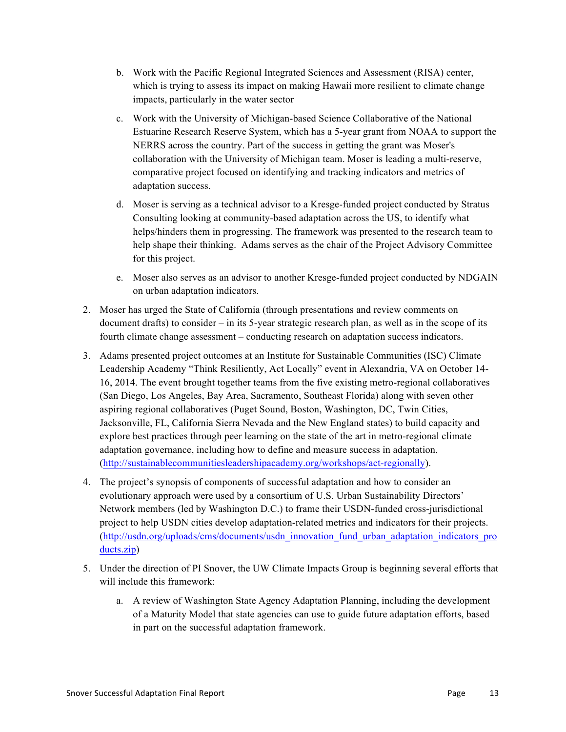- b. Work with the Pacific Regional Integrated Sciences and Assessment (RISA) center, which is trying to assess its impact on making Hawaii more resilient to climate change impacts, particularly in the water sector
- c. Work with the University of Michigan-based Science Collaborative of the National Estuarine Research Reserve System, which has a 5-year grant from NOAA to support the NERRS across the country. Part of the success in getting the grant was Moser's collaboration with the University of Michigan team. Moser is leading a multi-reserve, comparative project focused on identifying and tracking indicators and metrics of adaptation success.
- d. Moser is serving as a technical advisor to a Kresge-funded project conducted by Stratus Consulting looking at community-based adaptation across the US, to identify what helps/hinders them in progressing. The framework was presented to the research team to help shape their thinking. Adams serves as the chair of the Project Advisory Committee for this project.
- e. Moser also serves as an advisor to another Kresge-funded project conducted by NDGAIN on urban adaptation indicators.
- 2. Moser has urged the State of California (through presentations and review comments on document drafts) to consider – in its 5-year strategic research plan, as well as in the scope of its fourth climate change assessment – conducting research on adaptation success indicators.
- 3. Adams presented project outcomes at an Institute for Sustainable Communities (ISC) Climate Leadership Academy "Think Resiliently, Act Locally" event in Alexandria, VA on October 14- 16, 2014. The event brought together teams from the five existing metro-regional collaboratives (San Diego, Los Angeles, Bay Area, Sacramento, Southeast Florida) along with seven other aspiring regional collaboratives (Puget Sound, Boston, Washington, DC, Twin Cities, Jacksonville, FL, California Sierra Nevada and the New England states) to build capacity and explore best practices through peer learning on the state of the art in metro-regional climate adaptation governance, including how to define and measure success in adaptation. (http://sustainablecommunitiesleadershipacademy.org/workshops/act-regionally).
- 4. The project's synopsis of components of successful adaptation and how to consider an evolutionary approach were used by a consortium of U.S. Urban Sustainability Directors' Network members (led by Washington D.C.) to frame their USDN-funded cross-jurisdictional project to help USDN cities develop adaptation-related metrics and indicators for their projects. (http://usdn.org/uploads/cms/documents/usdn\_innovation\_fund\_urban\_adaptation\_indicators\_pro ducts.zip)
- 5. Under the direction of PI Snover, the UW Climate Impacts Group is beginning several efforts that will include this framework:
	- a. A review of Washington State Agency Adaptation Planning, including the development of a Maturity Model that state agencies can use to guide future adaptation efforts, based in part on the successful adaptation framework.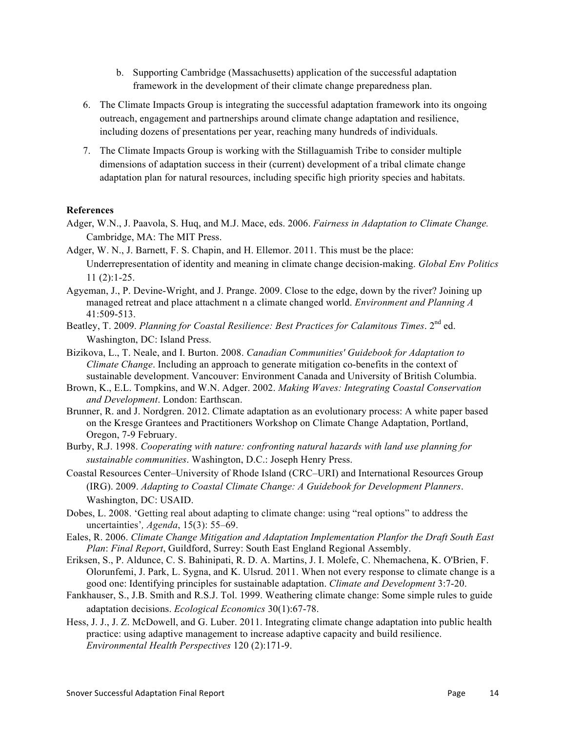- b. Supporting Cambridge (Massachusetts) application of the successful adaptation framework in the development of their climate change preparedness plan.
- 6. The Climate Impacts Group is integrating the successful adaptation framework into its ongoing outreach, engagement and partnerships around climate change adaptation and resilience, including dozens of presentations per year, reaching many hundreds of individuals.
- 7. The Climate Impacts Group is working with the Stillaguamish Tribe to consider multiple dimensions of adaptation success in their (current) development of a tribal climate change adaptation plan for natural resources, including specific high priority species and habitats.

#### **References**

- Adger, W.N., J. Paavola, S. Huq, and M.J. Mace, eds. 2006. *Fairness in Adaptation to Climate Change.*  Cambridge, MA: The MIT Press.
- Adger, W. N., J. Barnett, F. S. Chapin, and H. Ellemor. 2011. This must be the place: Underrepresentation of identity and meaning in climate change decision-making. *Global Env Politics* 11 (2):1-25.
- Agyeman, J., P. Devine-Wright, and J. Prange. 2009. Close to the edge, down by the river? Joining up managed retreat and place attachment n a climate changed world. *Environment and Planning A* 41:509-513.
- Beatley, T. 2009. *Planning for Coastal Resilience: Best Practices for Calamitous Times*. 2nd ed. Washington, DC: Island Press.
- Bizikova, L., T. Neale, and I. Burton. 2008. *Canadian Communities' Guidebook for Adaptation to Climate Change*. Including an approach to generate mitigation co-benefits in the context of sustainable development. Vancouver: Environment Canada and University of British Columbia.
- Brown, K., E.L. Tompkins, and W.N. Adger. 2002. *Making Waves: Integrating Coastal Conservation and Development*. London: Earthscan.
- Brunner, R. and J. Nordgren. 2012. Climate adaptation as an evolutionary process: A white paper based on the Kresge Grantees and Practitioners Workshop on Climate Change Adaptation, Portland, Oregon, 7-9 February.
- Burby, R.J. 1998. *Cooperating with nature: confronting natural hazards with land use planning for sustainable communities*. Washington, D.C.: Joseph Henry Press.
- Coastal Resources Center–University of Rhode Island (CRC–URI) and International Resources Group (IRG). 2009. *Adapting to Coastal Climate Change: A Guidebook for Development Planners*. Washington, DC: USAID.
- Dobes, L. 2008. 'Getting real about adapting to climate change: using "real options" to address the uncertainties'*, Agenda*, 15(3): 55‒69.
- Eales, R. 2006. *Climate Change Mitigation and Adaptation Implementation Planfor the Draft South East Plan*: *Final Report*, Guildford, Surrey: South East England Regional Assembly.
- Eriksen, S., P. Aldunce, C. S. Bahinipati, R. D. A. Martins, J. I. Molefe, C. Nhemachena, K. O'Brien, F. Olorunfemi, J. Park, L. Sygna, and K. Ulsrud. 2011. When not every response to climate change is a good one: Identifying principles for sustainable adaptation. *Climate and Development* 3:7-20.
- Fankhauser, S., J.B. Smith and R.S.J. Tol. 1999. Weathering climate change: Some simple rules to guide adaptation decisions. *Ecological Economics* 30(1):67-78.
- Hess, J. J., J. Z. McDowell, and G. Luber. 2011. Integrating climate change adaptation into public health practice: using adaptive management to increase adaptive capacity and build resilience. *Environmental Health Perspectives* 120 (2):171-9.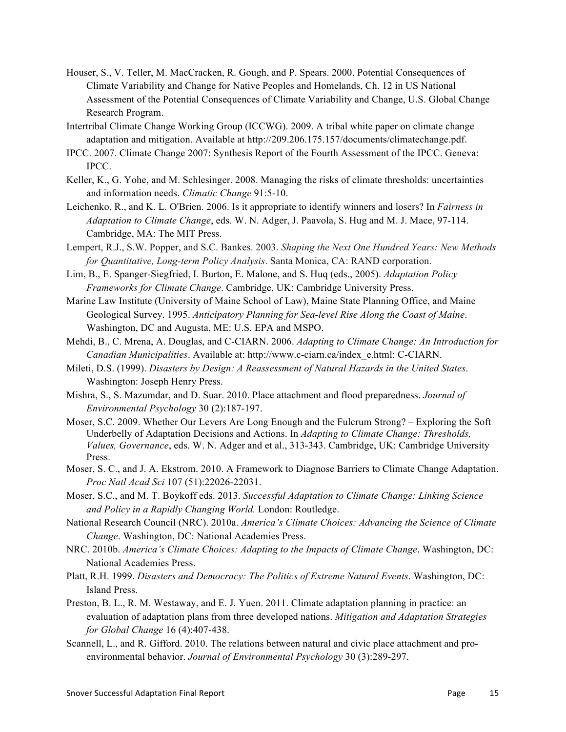- Houser, S., V. Teller, M. MacCracken, R. Gough, and P. Spears. 2000. Potential Consequences of Climate Variability and Change for Native Peoples and Homelands, Ch. 12 in US National Assessment of the Potential Consequences of Climate Variability and Change, U.S. Global Change Research Program.
- Intertribal Climate Change Working Group (ICCWG). 2009. A tribal white paper on climate change adaptation and mitigation. Available at http://209.206.175.157/documents/climatechange.pdf.
- IPCC. 2007. Climate Change 2007: Synthesis Report of the Fourth Assessment of the IPCC. Geneva: IPCC.
- Keller, K., G. Yohe, and M. Schlesinger. 2008. Managing the risks of climate thresholds: uncertainties and information needs. *Climatic Change* 91:5-10.
- Leichenko, R., and K. L. O'Brien. 2006. Is it appropriate to identify winners and losers? In *Fairness in Adaptation to Climate Change*, eds. W. N. Adger, J. Paavola, S. Hug and M. J. Mace, 97-114. Cambridge, MA: The MIT Press.
- Lempert, R.J., S.W. Popper, and S.C. Bankes. 2003. *Shaping the Next One Hundred Years: New Methods for Quantitative, Long-term Policy Analysis*. Santa Monica, CA: RAND corporation.
- Lim, B., E. Spanger-Siegfried, I. Burton, E. Malone, and S. Huq (eds., 2005). *Adaptation Policy Frameworks for Climate Change*. Cambridge, UK: Cambridge University Press.
- Marine Law Institute (University of Maine School of Law), Maine State Planning Office, and Maine Geological Survey. 1995. *Anticipatory Planning for Sea-level Rise Along the Coast of Maine*. Washington, DC and Augusta, ME: U.S. EPA and MSPO.
- Mehdi, B., C. Mrena, A. Douglas, and C-CIARN. 2006. *Adapting to Climate Change: An Introduction for Canadian Municipalities*. Available at: http://www.c-ciarn.ca/index\_e.html: C-CIARN.
- Mileti, D.S. (1999). *Disasters by Design: A Reassessment of Natural Hazards in the United States*. Washington: Joseph Henry Press.
- Mishra, S., S. Mazumdar, and D. Suar. 2010. Place attachment and flood preparedness. *Journal of Environmental Psychology* 30 (2):187-197.
- Moser, S.C. 2009. Whether Our Levers Are Long Enough and the Fulcrum Strong? Exploring the Soft Underbelly of Adaptation Decisions and Actions. In *Adapting to Climate Change: Thresholds, Values, Governance*, eds. W. N. Adger and et al., 313-343. Cambridge, UK: Cambridge University Press.
- Moser, S. C., and J. A. Ekstrom. 2010. A Framework to Diagnose Barriers to Climate Change Adaptation. *Proc Natl Acad Sci* 107 (51):22026-22031.
- Moser, S.C., and M. T. Boykoff eds. 2013. *Successful Adaptation to Climate Change: Linking Science and Policy in a Rapidly Changing World.* London: Routledge.
- National Research Council (NRC). 2010a. *America's Climate Choices: Advancing the Science of Climate Change*. Washington, DC: National Academies Press.
- NRC. 2010b. *America's Climate Choices: Adapting to the Impacts of Climate Change*. Washington, DC: National Academies Press.
- Platt, R.H. 1999. *Disasters and Democracy: The Politics of Extreme Natural Events*. Washington, DC: Island Press.
- Preston, B. L., R. M. Westaway, and E. J. Yuen. 2011. Climate adaptation planning in practice: an evaluation of adaptation plans from three developed nations. *Mitigation and Adaptation Strategies for Global Change* 16 (4):407-438.
- Scannell, L., and R. Gifford. 2010. The relations between natural and civic place attachment and proenvironmental behavior. *Journal of Environmental Psychology* 30 (3):289-297.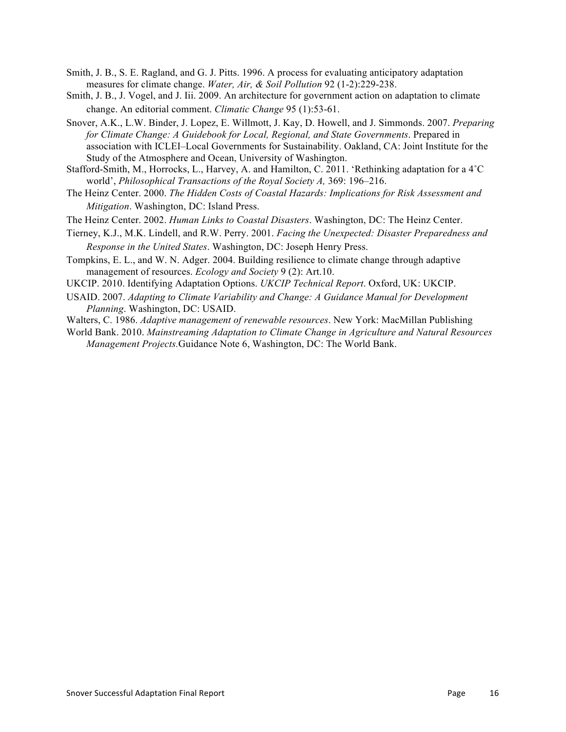- Smith, J. B., S. E. Ragland, and G. J. Pitts. 1996. A process for evaluating anticipatory adaptation measures for climate change. *Water, Air, & Soil Pollution* 92 (1-2):229-238.
- Smith, J. B., J. Vogel, and J. Iii. 2009. An architecture for government action on adaptation to climate change. An editorial comment. *Climatic Change* 95 (1):53-61.
- Snover, A.K., L.W. Binder, J. Lopez, E. Willmott, J. Kay, D. Howell, and J. Simmonds. 2007. *Preparing for Climate Change: A Guidebook for Local, Regional, and State Governments*. Prepared in association with ICLEI–Local Governments for Sustainability. Oakland, CA: Joint Institute for the Study of the Atmosphere and Ocean, University of Washington.
- Stafford-Smith, M., Horrocks, L., Harvey, A. and Hamilton, C. 2011. 'Rethinking adaptation for a 4˚C world', *Philosophical Transactions of the Royal Society A,* 369: 196–216.
- The Heinz Center. 2000. *The Hidden Costs of Coastal Hazards: Implications for Risk Assessment and Mitigation*. Washington, DC: Island Press.
- The Heinz Center. 2002. *Human Links to Coastal Disasters*. Washington, DC: The Heinz Center.
- Tierney, K.J., M.K. Lindell, and R.W. Perry. 2001. *Facing the Unexpected: Disaster Preparedness and Response in the United States*. Washington, DC: Joseph Henry Press.
- Tompkins, E. L., and W. N. Adger. 2004. Building resilience to climate change through adaptive management of resources. *Ecology and Society* 9 (2): Art.10.
- UKCIP. 2010. Identifying Adaptation Options. *UKCIP Technical Report*. Oxford, UK: UKCIP.
- USAID. 2007. *Adapting to Climate Variability and Change: A Guidance Manual for Development Planning*. Washington, DC: USAID.
- Walters, C. 1986. *Adaptive management of renewable resources*. New York: MacMillan Publishing
- World Bank. 2010. *Mainstreaming Adaptation to Climate Change in Agriculture and Natural Resources Management Projects.*Guidance Note 6, Washington, DC: The World Bank.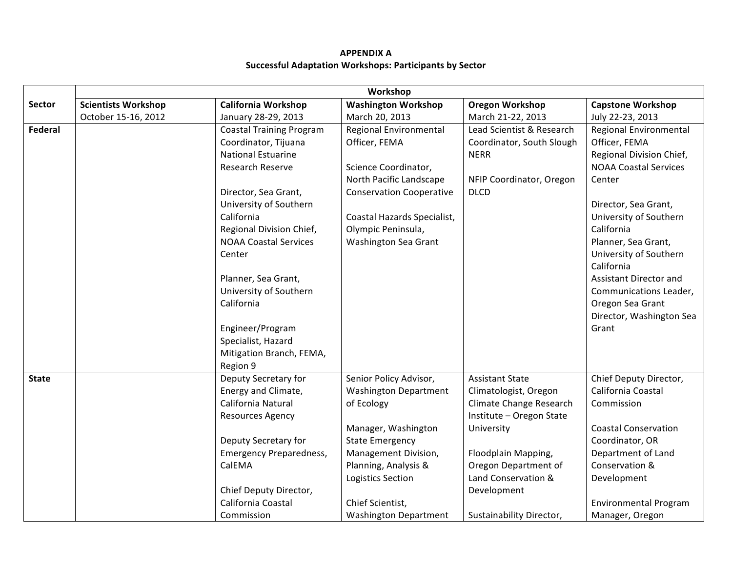### **APPENDIX A Successful Adaptation Workshops: Participants by Sector**

|                | Workshop                   |                                 |                                 |                           |                              |
|----------------|----------------------------|---------------------------------|---------------------------------|---------------------------|------------------------------|
| Sector         | <b>Scientists Workshop</b> | California Workshop             | <b>Washington Workshop</b>      | <b>Oregon Workshop</b>    | <b>Capstone Workshop</b>     |
|                | October 15-16, 2012        | January 28-29, 2013             | March 20, 2013                  | March 21-22, 2013         | July 22-23, 2013             |
| <b>Federal</b> |                            | <b>Coastal Training Program</b> | Regional Environmental          | Lead Scientist & Research | Regional Environmental       |
|                |                            | Coordinator, Tijuana            | Officer, FEMA                   | Coordinator, South Slough | Officer, FEMA                |
|                |                            | <b>National Estuarine</b>       |                                 | <b>NERR</b>               | Regional Division Chief,     |
|                |                            | Research Reserve                | Science Coordinator,            |                           | <b>NOAA Coastal Services</b> |
|                |                            |                                 | North Pacific Landscape         | NFIP Coordinator, Oregon  | Center                       |
|                |                            | Director, Sea Grant,            | <b>Conservation Cooperative</b> | <b>DLCD</b>               |                              |
|                |                            | University of Southern          |                                 |                           | Director, Sea Grant,         |
|                |                            | California                      | Coastal Hazards Specialist,     |                           | University of Southern       |
|                |                            | Regional Division Chief,        | Olympic Peninsula,              |                           | California                   |
|                |                            | <b>NOAA Coastal Services</b>    | <b>Washington Sea Grant</b>     |                           | Planner, Sea Grant,          |
|                |                            | Center                          |                                 |                           | University of Southern       |
|                |                            |                                 |                                 |                           | California                   |
|                |                            | Planner, Sea Grant,             |                                 |                           | Assistant Director and       |
|                |                            | University of Southern          |                                 |                           | Communications Leader,       |
|                |                            | California                      |                                 |                           | Oregon Sea Grant             |
|                |                            |                                 |                                 |                           | Director, Washington Sea     |
|                |                            | Engineer/Program                |                                 |                           | Grant                        |
|                |                            | Specialist, Hazard              |                                 |                           |                              |
|                |                            | Mitigation Branch, FEMA,        |                                 |                           |                              |
|                |                            | Region 9                        |                                 |                           |                              |
| <b>State</b>   |                            | Deputy Secretary for            | Senior Policy Advisor,          | <b>Assistant State</b>    | Chief Deputy Director,       |
|                |                            | Energy and Climate,             | <b>Washington Department</b>    | Climatologist, Oregon     | California Coastal           |
|                |                            | California Natural              | of Ecology                      | Climate Change Research   | Commission                   |
|                |                            | Resources Agency                |                                 | Institute - Oregon State  |                              |
|                |                            |                                 | Manager, Washington             | University                | <b>Coastal Conservation</b>  |
|                |                            | Deputy Secretary for            | <b>State Emergency</b>          |                           | Coordinator, OR              |
|                |                            | <b>Emergency Preparedness,</b>  | Management Division,            | Floodplain Mapping,       | Department of Land           |
|                |                            | CalEMA                          | Planning, Analysis &            | Oregon Department of      | Conservation &               |
|                |                            |                                 | <b>Logistics Section</b>        | Land Conservation &       | Development                  |
|                |                            | Chief Deputy Director,          |                                 | Development               |                              |
|                |                            | California Coastal              | Chief Scientist,                |                           | <b>Environmental Program</b> |
|                |                            | Commission                      | <b>Washington Department</b>    | Sustainability Director,  | Manager, Oregon              |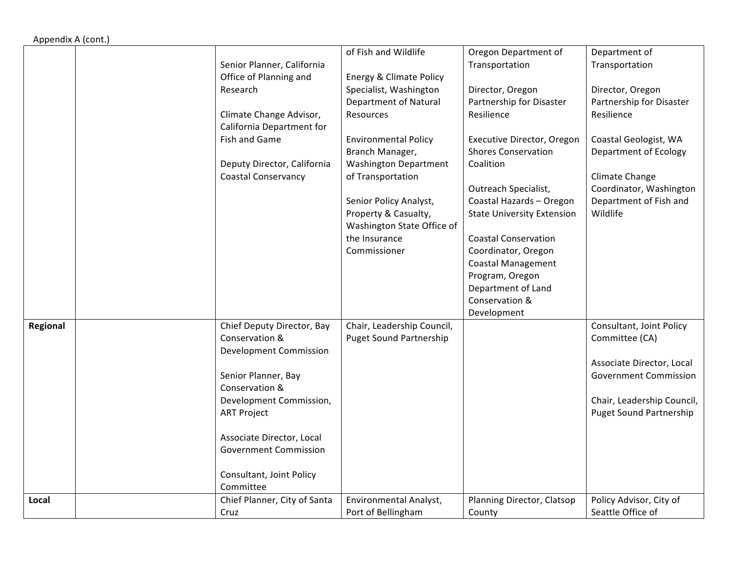| Appendix A (cont.) |                               |                                |                                   |                                |
|--------------------|-------------------------------|--------------------------------|-----------------------------------|--------------------------------|
|                    |                               | of Fish and Wildlife           | Oregon Department of              | Department of                  |
|                    | Senior Planner, California    |                                | Transportation                    | Transportation                 |
|                    | Office of Planning and        | Energy & Climate Policy        |                                   |                                |
|                    | Research                      | Specialist, Washington         | Director, Oregon                  | Director, Oregon               |
|                    |                               | Department of Natural          | Partnership for Disaster          | Partnership for Disaster       |
|                    | Climate Change Advisor,       | Resources                      | Resilience                        | Resilience                     |
|                    | California Department for     |                                |                                   |                                |
|                    | Fish and Game                 | <b>Environmental Policy</b>    | Executive Director, Oregon        | Coastal Geologist, WA          |
|                    |                               | Branch Manager,                | <b>Shores Conservation</b>        | Department of Ecology          |
|                    | Deputy Director, California   | <b>Washington Department</b>   | Coalition                         |                                |
|                    | <b>Coastal Conservancy</b>    | of Transportation              |                                   | Climate Change                 |
|                    |                               |                                | Outreach Specialist,              | Coordinator, Washington        |
|                    |                               | Senior Policy Analyst,         | Coastal Hazards - Oregon          | Department of Fish and         |
|                    |                               | Property & Casualty,           | <b>State University Extension</b> | Wildlife                       |
|                    |                               | Washington State Office of     |                                   |                                |
|                    |                               | the Insurance                  | <b>Coastal Conservation</b>       |                                |
|                    |                               | Commissioner                   | Coordinator, Oregon               |                                |
|                    |                               |                                | <b>Coastal Management</b>         |                                |
|                    |                               |                                | Program, Oregon                   |                                |
|                    |                               |                                | Department of Land                |                                |
|                    |                               |                                | Conservation &                    |                                |
|                    |                               |                                | Development                       |                                |
| Regional           | Chief Deputy Director, Bay    | Chair, Leadership Council,     |                                   | Consultant, Joint Policy       |
|                    | Conservation &                | <b>Puget Sound Partnership</b> |                                   | Committee (CA)                 |
|                    | <b>Development Commission</b> |                                |                                   |                                |
|                    |                               |                                |                                   | Associate Director, Local      |
|                    | Senior Planner, Bay           |                                |                                   | <b>Government Commission</b>   |
|                    | Conservation &                |                                |                                   |                                |
|                    | Development Commission,       |                                |                                   | Chair, Leadership Council,     |
|                    | <b>ART Project</b>            |                                |                                   | <b>Puget Sound Partnership</b> |
|                    |                               |                                |                                   |                                |
|                    | Associate Director, Local     |                                |                                   |                                |
|                    | <b>Government Commission</b>  |                                |                                   |                                |
|                    |                               |                                |                                   |                                |
|                    | Consultant, Joint Policy      |                                |                                   |                                |
|                    | Committee                     |                                |                                   |                                |
| Local              | Chief Planner, City of Santa  | Environmental Analyst,         | Planning Director, Clatsop        | Policy Advisor, City of        |
|                    | Cruz                          | Port of Bellingham             | County                            | Seattle Office of              |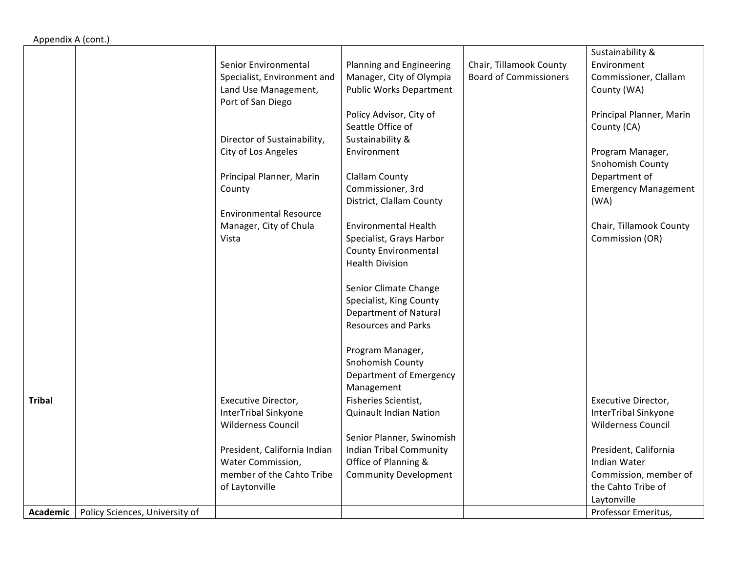| Appendix A (cont.) |                                |                                                                                                                                                                                                                                                                  |                                                                                                                                                                                                                                                                                                                                                                                                                                                                                    |                                                          |                                                                                                                                                                                                                                                                  |
|--------------------|--------------------------------|------------------------------------------------------------------------------------------------------------------------------------------------------------------------------------------------------------------------------------------------------------------|------------------------------------------------------------------------------------------------------------------------------------------------------------------------------------------------------------------------------------------------------------------------------------------------------------------------------------------------------------------------------------------------------------------------------------------------------------------------------------|----------------------------------------------------------|------------------------------------------------------------------------------------------------------------------------------------------------------------------------------------------------------------------------------------------------------------------|
|                    |                                | Senior Environmental<br>Specialist, Environment and<br>Land Use Management,<br>Port of San Diego<br>Director of Sustainability,<br>City of Los Angeles<br>Principal Planner, Marin<br>County<br><b>Environmental Resource</b><br>Manager, City of Chula<br>Vista | Planning and Engineering<br>Manager, City of Olympia<br><b>Public Works Department</b><br>Policy Advisor, City of<br>Seattle Office of<br>Sustainability &<br>Environment<br><b>Clallam County</b><br>Commissioner, 3rd<br>District, Clallam County<br><b>Environmental Health</b><br>Specialist, Grays Harbor<br>County Environmental<br><b>Health Division</b><br>Senior Climate Change<br>Specialist, King County<br><b>Department of Natural</b><br><b>Resources and Parks</b> | Chair, Tillamook County<br><b>Board of Commissioners</b> | Sustainability &<br>Environment<br>Commissioner, Clallam<br>County (WA)<br>Principal Planner, Marin<br>County (CA)<br>Program Manager,<br>Snohomish County<br>Department of<br><b>Emergency Management</b><br>(WA)<br>Chair, Tillamook County<br>Commission (OR) |
|                    |                                |                                                                                                                                                                                                                                                                  | Program Manager,<br>Snohomish County<br>Department of Emergency<br>Management                                                                                                                                                                                                                                                                                                                                                                                                      |                                                          |                                                                                                                                                                                                                                                                  |
| <b>Tribal</b>      |                                | Executive Director,<br><b>InterTribal Sinkyone</b><br><b>Wilderness Council</b><br>President, California Indian<br>Water Commission,<br>member of the Cahto Tribe<br>of Laytonville                                                                              | Fisheries Scientist,<br><b>Quinault Indian Nation</b><br>Senior Planner, Swinomish<br><b>Indian Tribal Community</b><br>Office of Planning &<br><b>Community Development</b>                                                                                                                                                                                                                                                                                                       |                                                          | Executive Director,<br>InterTribal Sinkyone<br><b>Wilderness Council</b><br>President, California<br>Indian Water<br>Commission, member of<br>the Cahto Tribe of<br>Laytonville                                                                                  |
| Academic           | Policy Sciences, University of |                                                                                                                                                                                                                                                                  |                                                                                                                                                                                                                                                                                                                                                                                                                                                                                    |                                                          | Professor Emeritus,                                                                                                                                                                                                                                              |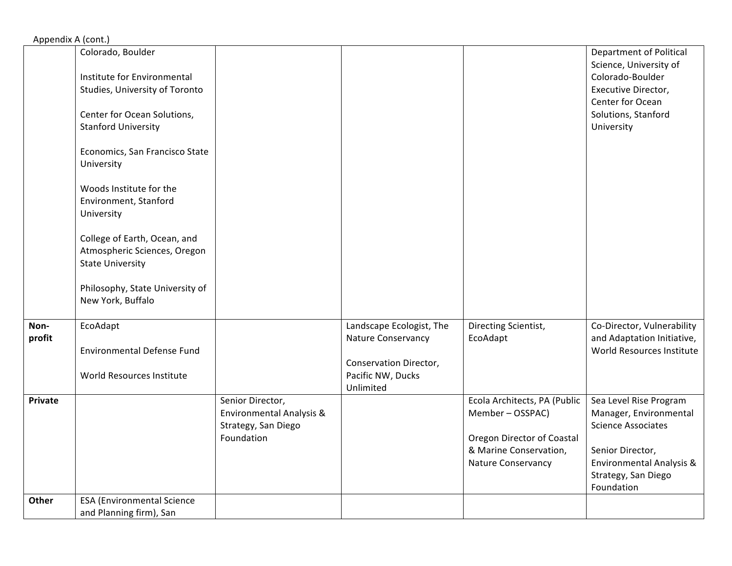Appendix A (cont.)

|         | Colorado, Boulder                 |                          |                          |                                   | <b>Department of Political</b> |
|---------|-----------------------------------|--------------------------|--------------------------|-----------------------------------|--------------------------------|
|         |                                   |                          |                          |                                   | Science, University of         |
|         | Institute for Environmental       |                          |                          |                                   | Colorado-Boulder               |
|         | Studies, University of Toronto    |                          |                          |                                   | Executive Director,            |
|         |                                   |                          |                          |                                   | Center for Ocean               |
|         | Center for Ocean Solutions,       |                          |                          |                                   | Solutions, Stanford            |
|         | <b>Stanford University</b>        |                          |                          |                                   | University                     |
|         |                                   |                          |                          |                                   |                                |
|         | Economics, San Francisco State    |                          |                          |                                   |                                |
|         | University                        |                          |                          |                                   |                                |
|         |                                   |                          |                          |                                   |                                |
|         | Woods Institute for the           |                          |                          |                                   |                                |
|         | Environment, Stanford             |                          |                          |                                   |                                |
|         | University                        |                          |                          |                                   |                                |
|         |                                   |                          |                          |                                   |                                |
|         | College of Earth, Ocean, and      |                          |                          |                                   |                                |
|         | Atmospheric Sciences, Oregon      |                          |                          |                                   |                                |
|         | <b>State University</b>           |                          |                          |                                   |                                |
|         |                                   |                          |                          |                                   |                                |
|         | Philosophy, State University of   |                          |                          |                                   |                                |
|         | New York, Buffalo                 |                          |                          |                                   |                                |
|         |                                   |                          |                          |                                   |                                |
| Non-    | EcoAdapt                          |                          | Landscape Ecologist, The | Directing Scientist,              | Co-Director, Vulnerability     |
| profit  |                                   |                          | Nature Conservancy       | EcoAdapt                          | and Adaptation Initiative,     |
|         | <b>Environmental Defense Fund</b> |                          |                          |                                   | World Resources Institute      |
|         |                                   |                          | Conservation Director,   |                                   |                                |
|         | World Resources Institute         |                          | Pacific NW, Ducks        |                                   |                                |
|         |                                   |                          | Unlimited                |                                   |                                |
| Private |                                   | Senior Director,         |                          | Ecola Architects, PA (Public      | Sea Level Rise Program         |
|         |                                   | Environmental Analysis & |                          | Member-OSSPAC)                    | Manager, Environmental         |
|         |                                   | Strategy, San Diego      |                          |                                   | <b>Science Associates</b>      |
|         |                                   | Foundation               |                          | <b>Oregon Director of Coastal</b> |                                |
|         |                                   |                          |                          | & Marine Conservation,            | Senior Director,               |
|         |                                   |                          |                          | Nature Conservancy                | Environmental Analysis &       |
|         |                                   |                          |                          |                                   | Strategy, San Diego            |
|         |                                   |                          |                          |                                   | Foundation                     |
| Other   | <b>ESA (Environmental Science</b> |                          |                          |                                   |                                |
|         | and Planning firm), San           |                          |                          |                                   |                                |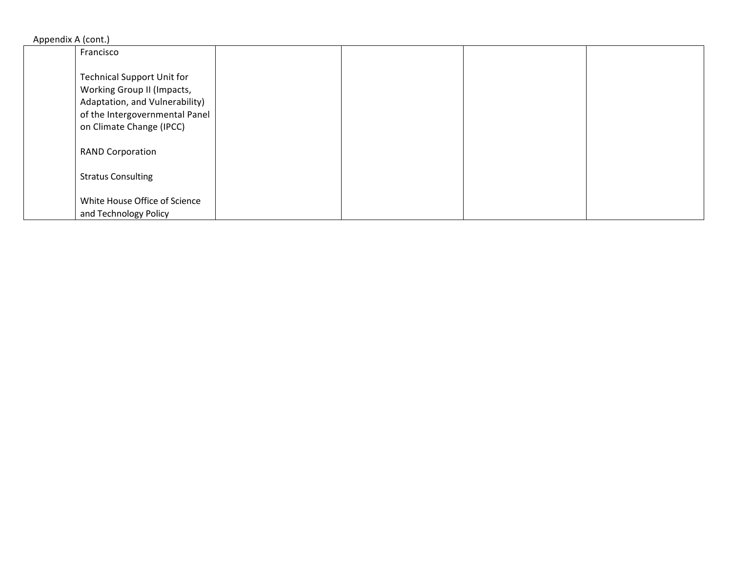| Appendix A (cont.)                |  |
|-----------------------------------|--|
| Francisco                         |  |
|                                   |  |
| <b>Technical Support Unit for</b> |  |
| <b>Working Group II (Impacts,</b> |  |
| Adaptation, and Vulnerability)    |  |
| of the Intergovernmental Panel    |  |
| on Climate Change (IPCC)          |  |
|                                   |  |
| <b>RAND Corporation</b>           |  |
|                                   |  |
| <b>Stratus Consulting</b>         |  |
|                                   |  |
| White House Office of Science     |  |
| and Technology Policy             |  |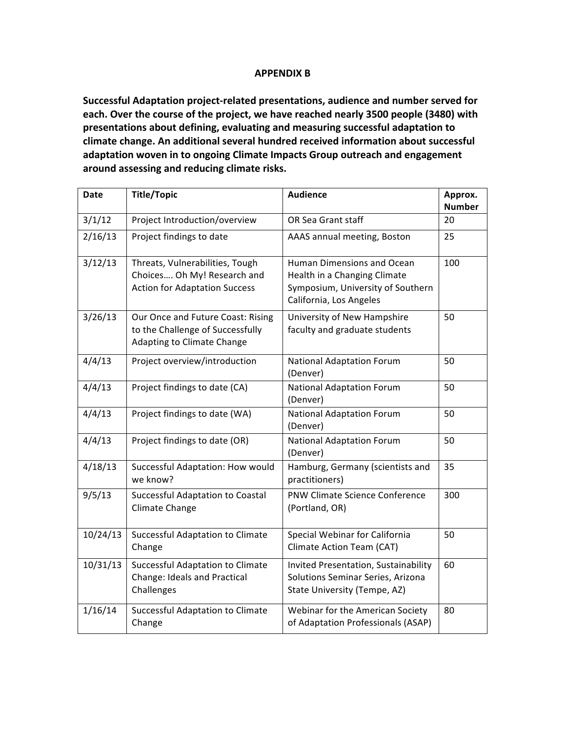### **APPENDIX B**

Successful Adaptation project-related presentations, audience and number served for each. Over the course of the project, we have reached nearly 3500 people (3480) with presentations about defining, evaluating and measuring successful adaptation to climate change. An additional several hundred received information about successful adaptation woven in to ongoing Climate Impacts Group outreach and engagement **around assessing and reducing climate risks.**

| Date     | <b>Title/Topic</b>                                                                                     | <b>Audience</b>                                                                                                            | Approx.<br><b>Number</b> |
|----------|--------------------------------------------------------------------------------------------------------|----------------------------------------------------------------------------------------------------------------------------|--------------------------|
| 3/1/12   | Project Introduction/overview                                                                          | OR Sea Grant staff                                                                                                         | 20                       |
| 2/16/13  | Project findings to date                                                                               | AAAS annual meeting, Boston                                                                                                | 25                       |
| 3/12/13  | Threats, Vulnerabilities, Tough<br>Choices Oh My! Research and<br><b>Action for Adaptation Success</b> | Human Dimensions and Ocean<br>Health in a Changing Climate<br>Symposium, University of Southern<br>California, Los Angeles | 100                      |
| 3/26/13  | Our Once and Future Coast: Rising<br>to the Challenge of Successfully<br>Adapting to Climate Change    | University of New Hampshire<br>faculty and graduate students                                                               | 50                       |
| 4/4/13   | Project overview/introduction                                                                          | <b>National Adaptation Forum</b><br>(Denver)                                                                               | 50                       |
| 4/4/13   | Project findings to date (CA)                                                                          | <b>National Adaptation Forum</b><br>(Denver)                                                                               | 50                       |
| 4/4/13   | Project findings to date (WA)                                                                          | <b>National Adaptation Forum</b><br>(Denver)                                                                               | 50                       |
| 4/4/13   | Project findings to date (OR)                                                                          | <b>National Adaptation Forum</b><br>(Denver)                                                                               | 50                       |
| 4/18/13  | Successful Adaptation: How would<br>we know?                                                           | Hamburg, Germany (scientists and<br>practitioners)                                                                         | 35                       |
| 9/5/13   | <b>Successful Adaptation to Coastal</b><br>Climate Change                                              | <b>PNW Climate Science Conference</b><br>(Portland, OR)                                                                    | 300                      |
| 10/24/13 | Successful Adaptation to Climate<br>Change                                                             | Special Webinar for California<br>Climate Action Team (CAT)                                                                | 50                       |
| 10/31/13 | Successful Adaptation to Climate<br>Change: Ideals and Practical<br>Challenges                         | Invited Presentation, Sustainability<br>Solutions Seminar Series, Arizona<br>State University (Tempe, AZ)                  | 60                       |
| 1/16/14  | <b>Successful Adaptation to Climate</b><br>Change                                                      | Webinar for the American Society<br>of Adaptation Professionals (ASAP)                                                     | 80                       |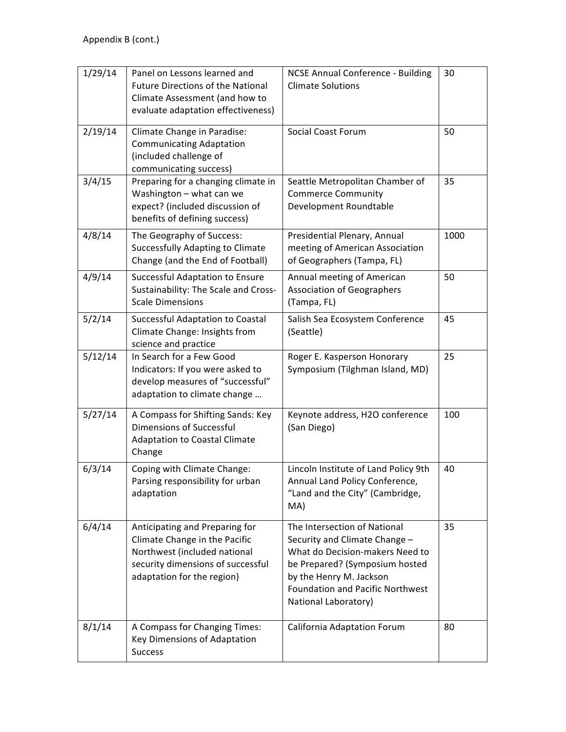| 1/29/14 | Panel on Lessons learned and<br><b>Future Directions of the National</b><br>Climate Assessment (and how to<br>evaluate adaptation effectiveness)                   | <b>NCSE Annual Conference - Building</b><br><b>Climate Solutions</b>                                                                                                                                                      | 30   |
|---------|--------------------------------------------------------------------------------------------------------------------------------------------------------------------|---------------------------------------------------------------------------------------------------------------------------------------------------------------------------------------------------------------------------|------|
| 2/19/14 | Climate Change in Paradise:<br><b>Communicating Adaptation</b><br>(included challenge of<br>communicating success)                                                 | <b>Social Coast Forum</b>                                                                                                                                                                                                 | 50   |
| 3/4/15  | Preparing for a changing climate in<br>Washington - what can we<br>expect? (included discussion of<br>benefits of defining success)                                | Seattle Metropolitan Chamber of<br><b>Commerce Community</b><br>Development Roundtable                                                                                                                                    | 35   |
| 4/8/14  | The Geography of Success:<br><b>Successfully Adapting to Climate</b><br>Change (and the End of Football)                                                           | Presidential Plenary, Annual<br>meeting of American Association<br>of Geographers (Tampa, FL)                                                                                                                             | 1000 |
| 4/9/14  | Successful Adaptation to Ensure<br>Sustainability: The Scale and Cross-<br><b>Scale Dimensions</b>                                                                 | Annual meeting of American<br><b>Association of Geographers</b><br>(Tampa, FL)                                                                                                                                            | 50   |
| 5/2/14  | Successful Adaptation to Coastal<br>Climate Change: Insights from<br>science and practice                                                                          | Salish Sea Ecosystem Conference<br>(Seattle)                                                                                                                                                                              | 45   |
| 5/12/14 | In Search for a Few Good<br>Indicators: If you were asked to<br>develop measures of "successful"<br>adaptation to climate change                                   | Roger E. Kasperson Honorary<br>Symposium (Tilghman Island, MD)                                                                                                                                                            | 25   |
| 5/27/14 | A Compass for Shifting Sands: Key<br><b>Dimensions of Successful</b><br><b>Adaptation to Coastal Climate</b><br>Change                                             | Keynote address, H2O conference<br>(San Diego)                                                                                                                                                                            | 100  |
| 6/3/14  | Coping with Climate Change:<br>Parsing responsibility for urban<br>adaptation                                                                                      | Lincoln Institute of Land Policy 9th<br>Annual Land Policy Conference,<br>"Land and the City" (Cambridge,<br>MA)                                                                                                          | 40   |
| 6/4/14  | Anticipating and Preparing for<br>Climate Change in the Pacific<br>Northwest (included national<br>security dimensions of successful<br>adaptation for the region) | The Intersection of National<br>Security and Climate Change -<br>What do Decision-makers Need to<br>be Prepared? (Symposium hosted<br>by the Henry M. Jackson<br>Foundation and Pacific Northwest<br>National Laboratory) | 35   |
| 8/1/14  | A Compass for Changing Times:<br>Key Dimensions of Adaptation<br><b>Success</b>                                                                                    | California Adaptation Forum                                                                                                                                                                                               | 80   |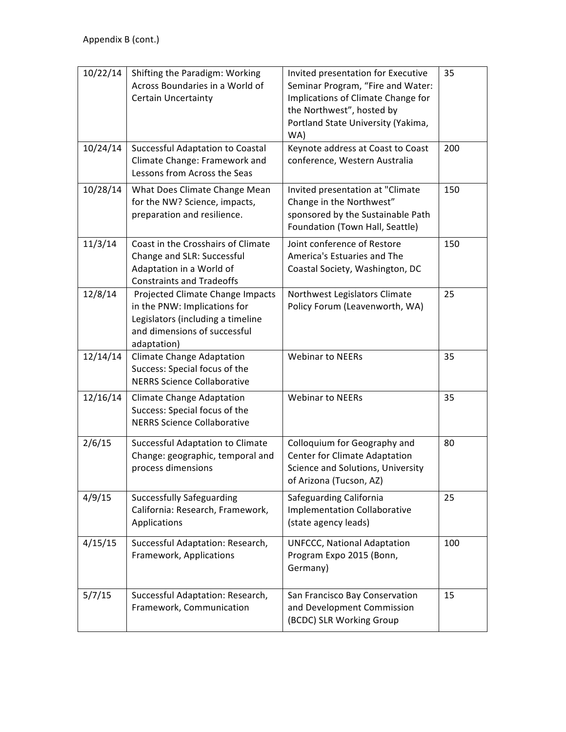| 10/22/14 | Shifting the Paradigm: Working<br>Across Boundaries in a World of<br><b>Certain Uncertainty</b>                                                      | Invited presentation for Executive<br>Seminar Program, "Fire and Water:<br>Implications of Climate Change for<br>the Northwest", hosted by<br>Portland State University (Yakima,<br>WA) | 35  |
|----------|------------------------------------------------------------------------------------------------------------------------------------------------------|-----------------------------------------------------------------------------------------------------------------------------------------------------------------------------------------|-----|
| 10/24/14 | Successful Adaptation to Coastal<br>Climate Change: Framework and<br>Lessons from Across the Seas                                                    | Keynote address at Coast to Coast<br>conference, Western Australia                                                                                                                      | 200 |
| 10/28/14 | What Does Climate Change Mean<br>for the NW? Science, impacts,<br>preparation and resilience.                                                        | Invited presentation at "Climate<br>Change in the Northwest"<br>sponsored by the Sustainable Path<br>Foundation (Town Hall, Seattle)                                                    | 150 |
| 11/3/14  | Coast in the Crosshairs of Climate<br>Change and SLR: Successful<br>Adaptation in a World of<br><b>Constraints and Tradeoffs</b>                     | Joint conference of Restore<br>America's Estuaries and The<br>Coastal Society, Washington, DC                                                                                           | 150 |
| 12/8/14  | Projected Climate Change Impacts<br>in the PNW: Implications for<br>Legislators (including a timeline<br>and dimensions of successful<br>adaptation) | Northwest Legislators Climate<br>Policy Forum (Leavenworth, WA)                                                                                                                         | 25  |
| 12/14/14 | Climate Change Adaptation<br>Success: Special focus of the<br><b>NERRS Science Collaborative</b>                                                     | <b>Webinar to NEERs</b>                                                                                                                                                                 | 35  |
| 12/16/14 | <b>Climate Change Adaptation</b><br>Success: Special focus of the<br><b>NERRS Science Collaborative</b>                                              | <b>Webinar to NEERs</b>                                                                                                                                                                 | 35  |
| 2/6/15   | <b>Successful Adaptation to Climate</b><br>Change: geographic, temporal and<br>process dimensions                                                    | Colloquium for Geography and<br>Center for Climate Adaptation<br>Science and Solutions, University<br>of Arizona (Tucson, AZ)                                                           | 80  |
| 4/9/15   | <b>Successfully Safeguarding</b><br>California: Research, Framework,<br>Applications                                                                 | Safeguarding California<br><b>Implementation Collaborative</b><br>(state agency leads)                                                                                                  | 25  |
| 4/15/15  | Successful Adaptation: Research,<br>Framework, Applications                                                                                          | <b>UNFCCC, National Adaptation</b><br>Program Expo 2015 (Bonn,<br>Germany)                                                                                                              | 100 |
| 5/7/15   | Successful Adaptation: Research,<br>Framework, Communication                                                                                         | San Francisco Bay Conservation<br>and Development Commission<br>(BCDC) SLR Working Group                                                                                                | 15  |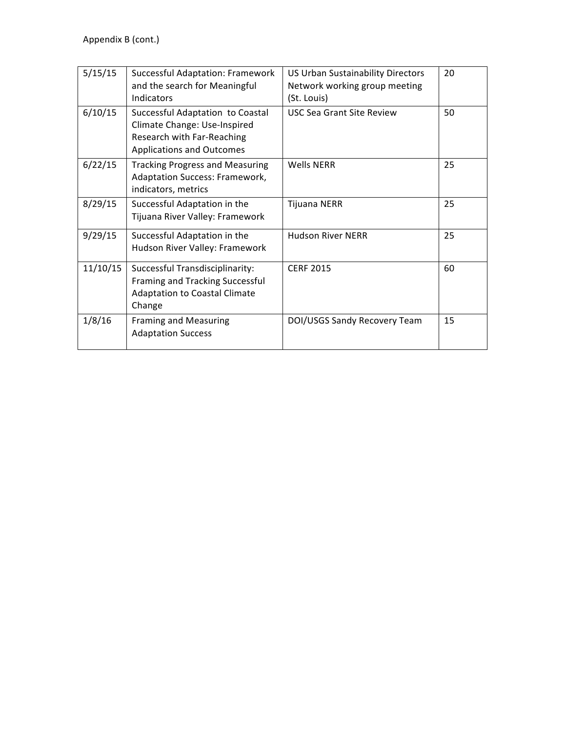| 5/15/15  | <b>Successful Adaptation: Framework</b><br>and the search for Meaningful<br>Indicators                                             | <b>US Urban Sustainability Directors</b><br>Network working group meeting<br>(St. Louis) | 20 |
|----------|------------------------------------------------------------------------------------------------------------------------------------|------------------------------------------------------------------------------------------|----|
| 6/10/15  | Successful Adaptation to Coastal<br>Climate Change: Use-Inspired<br>Research with Far-Reaching<br><b>Applications and Outcomes</b> | <b>USC Sea Grant Site Review</b>                                                         | 50 |
| 6/22/15  | <b>Tracking Progress and Measuring</b><br>Adaptation Success: Framework,<br>indicators, metrics                                    | Wells NFRR                                                                               | 25 |
| 8/29/15  | Successful Adaptation in the<br>Tijuana River Valley: Framework                                                                    | Tijuana NERR                                                                             | 25 |
| 9/29/15  | Successful Adaptation in the<br>Hudson River Valley: Framework                                                                     | <b>Hudson River NERR</b>                                                                 | 25 |
| 11/10/15 | Successful Transdisciplinarity:<br>Framing and Tracking Successful<br><b>Adaptation to Coastal Climate</b><br>Change               | <b>CERF 2015</b>                                                                         | 60 |
| 1/8/16   | <b>Framing and Measuring</b><br><b>Adaptation Success</b>                                                                          | DOI/USGS Sandy Recovery Team                                                             | 15 |